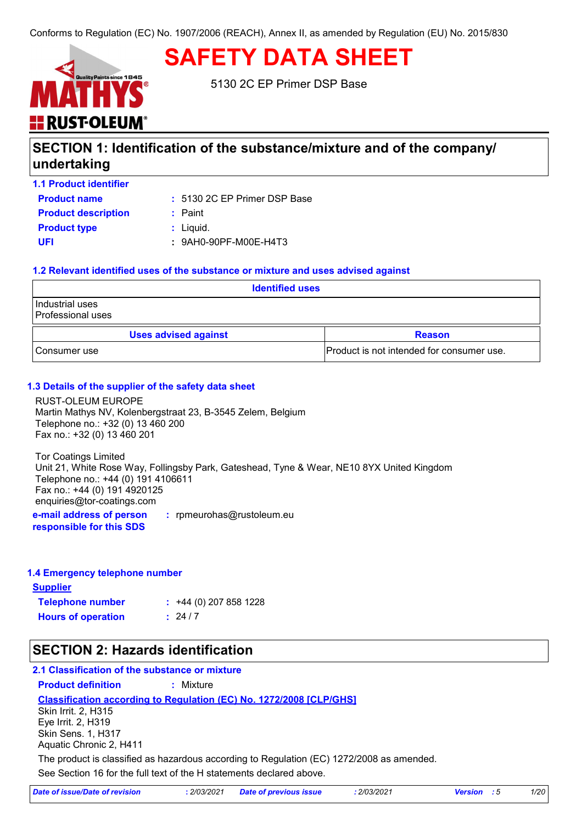

**SAFETY DATA SHEET**

5130 2C EP Primer DSP Base

# **SECTION 1: Identification of the substance/mixture and of the company/ undertaking**

**1.1 Product identifier**

**Product name**

5130 2C EP Primer DSP Base **:**

| <b>Product description</b> | $:$ Paint             |
|----------------------------|-----------------------|
| <b>Product type</b>        | : Liquid.             |
| UFI                        | : 9AH0-90PF-M00E-H4T3 |

# **1.2 Relevant identified uses of the substance or mixture and uses advised against**

| <b>Identified uses</b>               |                                           |
|--------------------------------------|-------------------------------------------|
| Industrial uses<br>Professional uses |                                           |
| <b>Uses advised against</b>          | <b>Reason</b>                             |
| ⊧Consumer use                        | Product is not intended for consumer use. |

# **1.3 Details of the supplier of the safety data sheet**

RUST-OLEUM EUROPE Martin Mathys NV, Kolenbergstraat 23, B-3545 Zelem, Belgium Telephone no.: +32 (0) 13 460 200 Fax no.: +32 (0) 13 460 201

Tor Coatings Limited Unit 21, White Rose Way, Follingsby Park, Gateshead, Tyne & Wear, NE10 8YX United Kingdom Telephone no.: +44 (0) 191 4106611 Fax no.: +44 (0) 191 4920125 enquiries@tor-coatings.com

**e-mail address of person responsible for this SDS :** rpmeurohas@rustoleum.eu

## **1.4 Emergency telephone number**

**Supplier Telephone number : Hours of operation :**  $: 24/7$  $\div$  +44 (0) 207 858 1228

# **SECTION 2: Hazards identification**

# **2.1 Classification of the substance or mixture**

**Classification according to Regulation (EC) No. 1272/2008 [CLP/GHS] Product definition :** Mixture See Section 16 for the full text of the H statements declared above. Skin Irrit. 2, H315 Eye Irrit. 2, H319 Skin Sens. 1, H317 Aquatic Chronic 2, H411 The product is classified as hazardous according to Regulation (EC) 1272/2008 as amended.

| Date of issue/Date of revision | : 2/03/2021 Date of previous issue | 2/03/2021 | <b>Version</b> : 5 | 1/20 |
|--------------------------------|------------------------------------|-----------|--------------------|------|
|--------------------------------|------------------------------------|-----------|--------------------|------|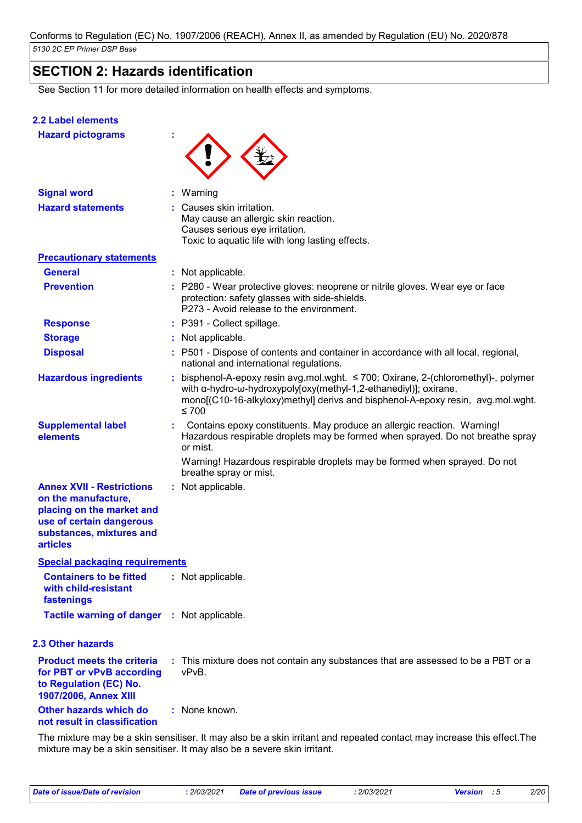# **SECTION 2: Hazards identification**

See Section 11 for more detailed information on health effects and symptoms.

## **2.2 Label elements**

| <b>Hazard pictograms</b> |  |
|--------------------------|--|
|--------------------------|--|



| <b>Signal word</b>                                                                                                                                              | : Warning                                                                                                                                                                                                                                             |
|-----------------------------------------------------------------------------------------------------------------------------------------------------------------|-------------------------------------------------------------------------------------------------------------------------------------------------------------------------------------------------------------------------------------------------------|
| <b>Hazard statements</b>                                                                                                                                        | Causes skin irritation.<br>May cause an allergic skin reaction.                                                                                                                                                                                       |
|                                                                                                                                                                 | Causes serious eye irritation.                                                                                                                                                                                                                        |
|                                                                                                                                                                 | Toxic to aquatic life with long lasting effects.                                                                                                                                                                                                      |
| <b>Precautionary statements</b>                                                                                                                                 |                                                                                                                                                                                                                                                       |
| <b>General</b>                                                                                                                                                  | : Not applicable.                                                                                                                                                                                                                                     |
| <b>Prevention</b>                                                                                                                                               | : P280 - Wear protective gloves: neoprene or nitrile gloves. Wear eye or face<br>protection: safety glasses with side-shields.<br>P273 - Avoid release to the environment.                                                                            |
| <b>Response</b>                                                                                                                                                 | : P391 - Collect spillage.                                                                                                                                                                                                                            |
| <b>Storage</b>                                                                                                                                                  | : Not applicable.                                                                                                                                                                                                                                     |
| <b>Disposal</b>                                                                                                                                                 | : P501 - Dispose of contents and container in accordance with all local, regional,<br>national and international regulations.                                                                                                                         |
| <b>Hazardous ingredients</b>                                                                                                                                    | bisphenol-A-epoxy resin avg.mol.wght. ≤ 700; Oxirane, 2-(chloromethyl)-, polymer<br>with α-hydro-ω-hydroxypoly[oxy(methyl-1,2-ethanediyl)]; oxirane,<br>mono[(C10-16-alkyloxy)methyl] derivs and bisphenol-A-epoxy resin, avg.mol.wght.<br>$\leq 700$ |
| <b>Supplemental label</b><br>elements                                                                                                                           | Contains epoxy constituents. May produce an allergic reaction. Warning!<br>Hazardous respirable droplets may be formed when sprayed. Do not breathe spray<br>or mist.                                                                                 |
|                                                                                                                                                                 | Warning! Hazardous respirable droplets may be formed when sprayed. Do not<br>breathe spray or mist.                                                                                                                                                   |
| <b>Annex XVII - Restrictions</b><br>on the manufacture,<br>placing on the market and<br>use of certain dangerous<br>substances, mixtures and<br><b>articles</b> | : Not applicable.                                                                                                                                                                                                                                     |
| <b>Special packaging requirements</b>                                                                                                                           |                                                                                                                                                                                                                                                       |
| <b>Containers to be fitted</b><br>with child-resistant<br>fastenings                                                                                            | : Not applicable.                                                                                                                                                                                                                                     |
| Tactile warning of danger : Not applicable.                                                                                                                     |                                                                                                                                                                                                                                                       |
| <b>2.3 Other hazards</b>                                                                                                                                        |                                                                                                                                                                                                                                                       |
| <b>Product meets the criteria</b><br>for PBT or vPvB according<br>to Regulation (EC) No.<br>1907/2006, Annex XIII                                               | : This mixture does not contain any substances that are assessed to be a PBT or a<br>vPvB.                                                                                                                                                            |
| Other hazards which do                                                                                                                                          | : None known.                                                                                                                                                                                                                                         |

**not result in classification**

The mixture may be a skin sensitiser. It may also be a skin irritant and repeated contact may increase this effect.The mixture may be a skin sensitiser. It may also be a severe skin irritant.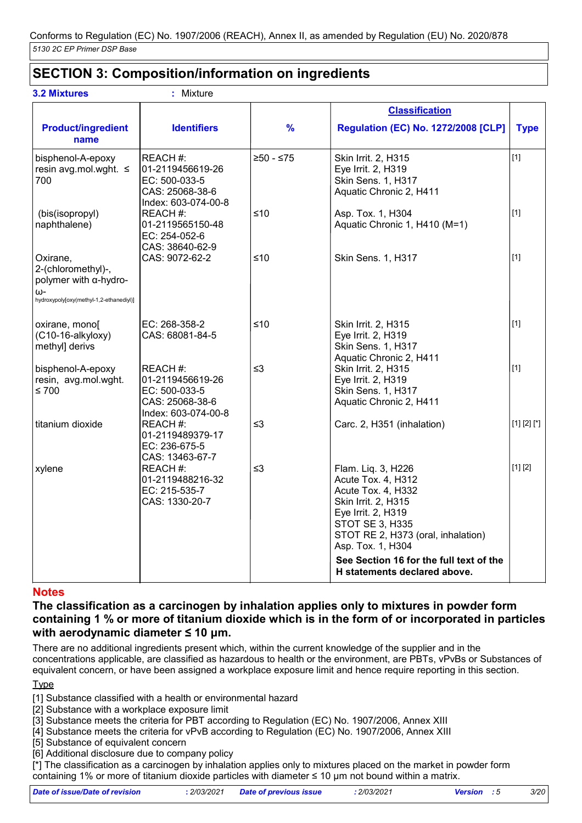# **SECTION 3: Composition/information on ingredients**

| <b>3.2 Mixtures</b>                                                                                              | : Mixture                                                                               |               |                                                                                                                                                                                                  |               |
|------------------------------------------------------------------------------------------------------------------|-----------------------------------------------------------------------------------------|---------------|--------------------------------------------------------------------------------------------------------------------------------------------------------------------------------------------------|---------------|
|                                                                                                                  |                                                                                         |               | <b>Classification</b>                                                                                                                                                                            |               |
| <b>Product/ingredient</b><br>name                                                                                | <b>Identifiers</b>                                                                      | $\frac{9}{6}$ | <b>Regulation (EC) No. 1272/2008 [CLP]</b>                                                                                                                                                       | <b>Type</b>   |
| bisphenol-A-epoxy<br>resin avg.mol.wght. $\leq$<br>700                                                           | REACH #:<br>01-2119456619-26<br>EC: 500-033-5<br>CAS: 25068-38-6<br>Index: 603-074-00-8 | $≥50 - ≤75$   | Skin Irrit. 2, H315<br>Eye Irrit. 2, H319<br>Skin Sens. 1, H317<br>Aquatic Chronic 2, H411                                                                                                       | $[1]$         |
| (bis(isopropyl)<br>naphthalene)                                                                                  | REACH #:<br>01-2119565150-48<br>EC: 254-052-6<br>CAS: 38640-62-9                        | ≤10           | Asp. Tox. 1, H304<br>Aquatic Chronic 1, H410 (M=1)                                                                                                                                               | $[1]$         |
| Oxirane,<br>2-(chloromethyl)-,<br>polymer with $\alpha$ -hydro-<br>ω-<br>hydroxypoly[oxy(methyl-1,2-ethanediyl)] | CAS: 9072-62-2                                                                          | $≤10$         | Skin Sens. 1, H317                                                                                                                                                                               | $[1]$         |
| oxirane, mono<br>(C10-16-alkyloxy)<br>methyl] derivs                                                             | EC: 268-358-2<br>CAS: 68081-84-5                                                        | $≤10$         | Skin Irrit. 2, H315<br>Eye Irrit. 2, H319<br>Skin Sens. 1, H317<br>Aquatic Chronic 2, H411                                                                                                       | $[1]$         |
| bisphenol-A-epoxy<br>resin, avg.mol.wght.<br>$\leq 700$                                                          | REACH #:<br>01-2119456619-26<br>EC: 500-033-5<br>CAS: 25068-38-6<br>Index: 603-074-00-8 | $\leq$ 3      | Skin Irrit. 2, H315<br>Eye Irrit. 2, H319<br>Skin Sens. 1, H317<br>Aquatic Chronic 2, H411                                                                                                       | $\vert$ [1]   |
| titanium dioxide                                                                                                 | REACH #:<br>01-2119489379-17<br>EC: 236-675-5<br>CAS: 13463-67-7                        | ≤3            | Carc. 2, H351 (inhalation)                                                                                                                                                                       | $[1] [2] [*]$ |
| xylene                                                                                                           | REACH #:<br>01-2119488216-32<br>EC: 215-535-7<br>CAS: 1330-20-7                         | $\leq$ 3      | Flam. Liq. 3, H226<br>Acute Tox. 4, H312<br>Acute Tox. 4, H332<br>Skin Irrit. 2, H315<br>Eye Irrit. 2, H319<br><b>STOT SE 3, H335</b><br>STOT RE 2, H373 (oral, inhalation)<br>Asp. Tox. 1, H304 | (1] [2]       |
|                                                                                                                  |                                                                                         |               | See Section 16 for the full text of the<br>H statements declared above.                                                                                                                          |               |

# **Notes**

**The classification as a carcinogen by inhalation applies only to mixtures in powder form containing 1 % or more of titanium dioxide which is in the form of or incorporated in particles with aerodynamic diameter ≤ 10 μm.**

There are no additional ingredients present which, within the current knowledge of the supplier and in the concentrations applicable, are classified as hazardous to health or the environment, are PBTs, vPvBs or Substances of equivalent concern, or have been assigned a workplace exposure limit and hence require reporting in this section.

## **Type**

[1] Substance classified with a health or environmental hazard

- [2] Substance with a workplace exposure limit
- [3] Substance meets the criteria for PBT according to Regulation (EC) No. 1907/2006, Annex XIII
- [4] Substance meets the criteria for vPvB according to Regulation (EC) No. 1907/2006, Annex XIII
- [5] Substance of equivalent concern
- [6] Additional disclosure due to company policy

[\*] The classification as a carcinogen by inhalation applies only to mixtures placed on the market in powder form containing 1% or more of titanium dioxide particles with diameter ≤ 10 μm not bound within a matrix.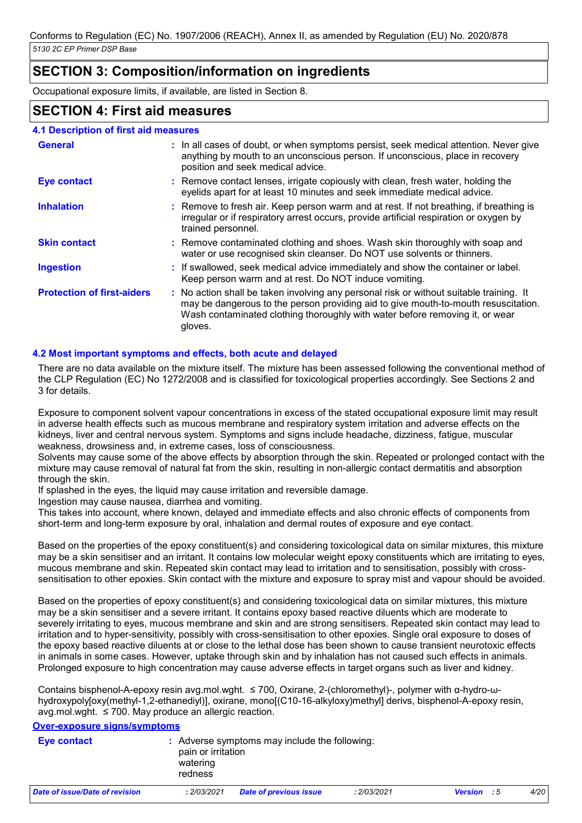# **SECTION 3: Composition/information on ingredients**

Occupational exposure limits, if available, are listed in Section 8.

# **SECTION 4: First aid measures**

# **4.1 Description of first aid measures**

| <b>General</b>                    | : In all cases of doubt, or when symptoms persist, seek medical attention. Never give<br>anything by mouth to an unconscious person. If unconscious, place in recovery<br>position and seek medical advice.                                                              |
|-----------------------------------|--------------------------------------------------------------------------------------------------------------------------------------------------------------------------------------------------------------------------------------------------------------------------|
| <b>Eye contact</b>                | : Remove contact lenses, irrigate copiously with clean, fresh water, holding the<br>eyelids apart for at least 10 minutes and seek immediate medical advice.                                                                                                             |
| <b>Inhalation</b>                 | : Remove to fresh air. Keep person warm and at rest. If not breathing, if breathing is<br>irregular or if respiratory arrest occurs, provide artificial respiration or oxygen by<br>trained personnel.                                                                   |
| <b>Skin contact</b>               | : Remove contaminated clothing and shoes. Wash skin thoroughly with soap and<br>water or use recognised skin cleanser. Do NOT use solvents or thinners.                                                                                                                  |
| <b>Ingestion</b>                  | : If swallowed, seek medical advice immediately and show the container or label.<br>Keep person warm and at rest. Do NOT induce vomiting.                                                                                                                                |
| <b>Protection of first-aiders</b> | : No action shall be taken involving any personal risk or without suitable training. It<br>may be dangerous to the person providing aid to give mouth-to-mouth resuscitation.<br>Wash contaminated clothing thoroughly with water before removing it, or wear<br>gloves. |

# **4.2 Most important symptoms and effects, both acute and delayed**

There are no data available on the mixture itself. The mixture has been assessed following the conventional method of the CLP Regulation (EC) No 1272/2008 and is classified for toxicological properties accordingly. See Sections 2 and 3 for details.

Exposure to component solvent vapour concentrations in excess of the stated occupational exposure limit may result in adverse health effects such as mucous membrane and respiratory system irritation and adverse effects on the kidneys, liver and central nervous system. Symptoms and signs include headache, dizziness, fatigue, muscular weakness, drowsiness and, in extreme cases, loss of consciousness.

Solvents may cause some of the above effects by absorption through the skin. Repeated or prolonged contact with the mixture may cause removal of natural fat from the skin, resulting in non-allergic contact dermatitis and absorption through the skin.

If splashed in the eyes, the liquid may cause irritation and reversible damage.

Ingestion may cause nausea, diarrhea and vomiting.

This takes into account, where known, delayed and immediate effects and also chronic effects of components from short-term and long-term exposure by oral, inhalation and dermal routes of exposure and eye contact.

Based on the properties of the epoxy constituent(s) and considering toxicological data on similar mixtures, this mixture may be a skin sensitiser and an irritant. It contains low molecular weight epoxy constituents which are irritating to eyes, mucous membrane and skin. Repeated skin contact may lead to irritation and to sensitisation, possibly with crosssensitisation to other epoxies. Skin contact with the mixture and exposure to spray mist and vapour should be avoided.

Based on the properties of epoxy constituent(s) and considering toxicological data on similar mixtures, this mixture may be a skin sensitiser and a severe irritant. It contains epoxy based reactive diluents which are moderate to severely irritating to eyes, mucous membrane and skin and are strong sensitisers. Repeated skin contact may lead to irritation and to hyper-sensitivity, possibly with cross-sensitisation to other epoxies. Single oral exposure to doses of the epoxy based reactive diluents at or close to the lethal dose has been shown to cause transient neurotoxic effects in animals in some cases. However, uptake through skin and by inhalation has not caused such effects in animals. Prolonged exposure to high concentration may cause adverse effects in target organs such as liver and kidney.

Contains bisphenol-A-epoxy resin avg.mol.wght. ≤ 700, Oxirane, 2-(chloromethyl)-, polymer with α-hydro-ωhydroxypoly[oxy(methyl-1,2-ethanediyl)], oxirane, mono[(C10-16-alkyloxy)methyl] derivs, bisphenol-A-epoxy resin, avg.mol.wght. ≤ 700. May produce an allergic reaction.

**Over-exposure signs/symptoms**

| Eye contact | : Adverse symptoms may include the following:<br>pain or irritation<br>watering<br>redness |
|-------------|--------------------------------------------------------------------------------------------|
|             |                                                                                            |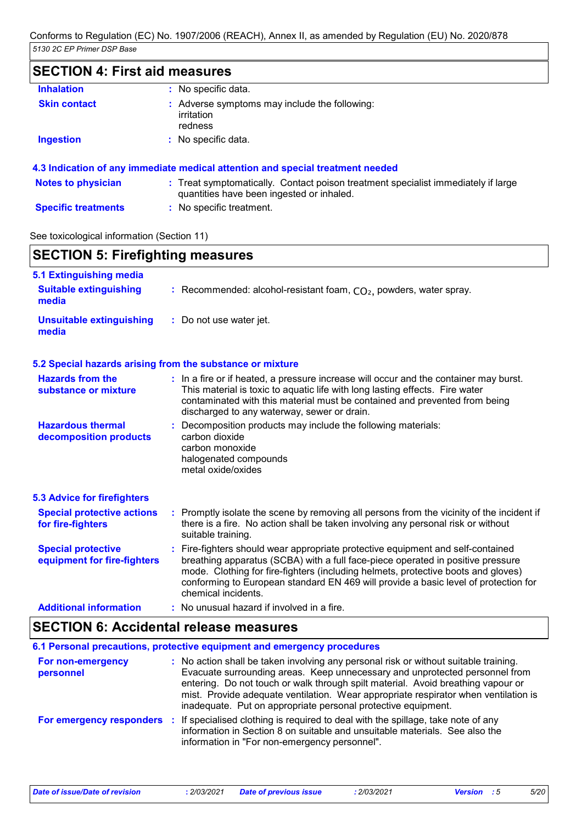# **SECTION 4: First aid measures**

| <b>Inhalation</b>          | : No specific data.                                                                                                            |
|----------------------------|--------------------------------------------------------------------------------------------------------------------------------|
| <b>Skin contact</b>        | : Adverse symptoms may include the following:<br>irritation<br>redness                                                         |
| <b>Ingestion</b>           | : No specific data.                                                                                                            |
|                            | 4.3 Indication of any immediate medical attention and special treatment needed                                                 |
| <b>Notes to physician</b>  | : Treat symptomatically. Contact poison treatment specialist immediately if large<br>quantities have been ingested or inhaled. |
| <b>Specific treatments</b> | No specific treatment.                                                                                                         |

See toxicological information (Section 11)

Ī

| <b>SECTION 5: Firefighting measures</b>                  |                                                                                                                                                                                                                                                                                                                                                                       |
|----------------------------------------------------------|-----------------------------------------------------------------------------------------------------------------------------------------------------------------------------------------------------------------------------------------------------------------------------------------------------------------------------------------------------------------------|
| 5.1 Extinguishing media                                  |                                                                                                                                                                                                                                                                                                                                                                       |
| <b>Suitable extinguishing</b><br>media                   | : Recommended: alcohol-resistant foam, $CO2$ , powders, water spray.                                                                                                                                                                                                                                                                                                  |
| <b>Unsuitable extinguishing</b><br>media                 | : Do not use water jet.                                                                                                                                                                                                                                                                                                                                               |
|                                                          | 5.2 Special hazards arising from the substance or mixture                                                                                                                                                                                                                                                                                                             |
| <b>Hazards from the</b><br>substance or mixture          | : In a fire or if heated, a pressure increase will occur and the container may burst.<br>This material is toxic to aquatic life with long lasting effects. Fire water<br>contaminated with this material must be contained and prevented from being<br>discharged to any waterway, sewer or drain.                                                                    |
| <b>Hazardous thermal</b><br>decomposition products       | Decomposition products may include the following materials:<br>carbon dioxide<br>carbon monoxide<br>halogenated compounds<br>metal oxide/oxides                                                                                                                                                                                                                       |
| <b>5.3 Advice for firefighters</b>                       |                                                                                                                                                                                                                                                                                                                                                                       |
| <b>Special protective actions</b><br>for fire-fighters   | : Promptly isolate the scene by removing all persons from the vicinity of the incident if<br>there is a fire. No action shall be taken involving any personal risk or without<br>suitable training.                                                                                                                                                                   |
| <b>Special protective</b><br>equipment for fire-fighters | : Fire-fighters should wear appropriate protective equipment and self-contained<br>breathing apparatus (SCBA) with a full face-piece operated in positive pressure<br>mode. Clothing for fire-fighters (including helmets, protective boots and gloves)<br>conforming to European standard EN 469 will provide a basic level of protection for<br>chemical incidents. |
| <b>Additional information</b>                            | : No unusual hazard if involved in a fire.                                                                                                                                                                                                                                                                                                                            |

# **SECTION 6: Accidental release measures**

|                                       | 6.1 Personal precautions, protective equipment and emergency procedures                                                                                                                                                                                                                                                                                                                                         |
|---------------------------------------|-----------------------------------------------------------------------------------------------------------------------------------------------------------------------------------------------------------------------------------------------------------------------------------------------------------------------------------------------------------------------------------------------------------------|
| <b>For non-emergency</b><br>personnel | : No action shall be taken involving any personal risk or without suitable training.<br>Evacuate surrounding areas. Keep unnecessary and unprotected personnel from<br>entering. Do not touch or walk through spilt material. Avoid breathing vapour or<br>mist. Provide adequate ventilation. Wear appropriate respirator when ventilation is<br>inadequate. Put on appropriate personal protective equipment. |
| For emergency responders              | : If specialised clothing is required to deal with the spillage, take note of any<br>information in Section 8 on suitable and unsuitable materials. See also the<br>information in "For non-emergency personnel".                                                                                                                                                                                               |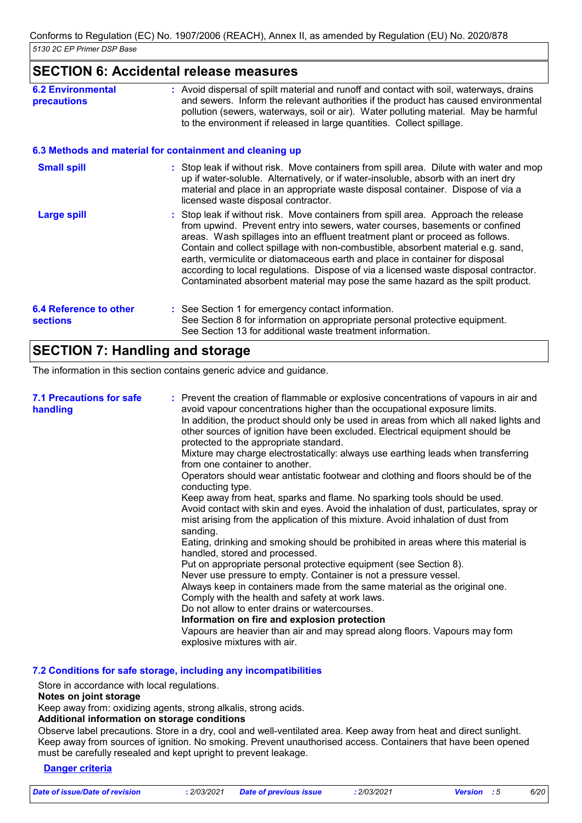# **SECTION 6: Accidental release measures**

| <b>6.2 Environmental</b><br>precautions   | : Avoid dispersal of spilt material and runoff and contact with soil, waterways, drains<br>and sewers. Inform the relevant authorities if the product has caused environmental<br>pollution (sewers, waterways, soil or air). Water polluting material. May be harmful<br>to the environment if released in large quantities. Collect spillage.                                                                                                                                                                                                                                                   |
|-------------------------------------------|---------------------------------------------------------------------------------------------------------------------------------------------------------------------------------------------------------------------------------------------------------------------------------------------------------------------------------------------------------------------------------------------------------------------------------------------------------------------------------------------------------------------------------------------------------------------------------------------------|
|                                           | 6.3 Methods and material for containment and cleaning up                                                                                                                                                                                                                                                                                                                                                                                                                                                                                                                                          |
| <b>Small spill</b>                        | : Stop leak if without risk. Move containers from spill area. Dilute with water and mop<br>up if water-soluble. Alternatively, or if water-insoluble, absorb with an inert dry<br>material and place in an appropriate waste disposal container. Dispose of via a<br>licensed waste disposal contractor.                                                                                                                                                                                                                                                                                          |
| Large spill                               | : Stop leak if without risk. Move containers from spill area. Approach the release<br>from upwind. Prevent entry into sewers, water courses, basements or confined<br>areas. Wash spillages into an effluent treatment plant or proceed as follows.<br>Contain and collect spillage with non-combustible, absorbent material e.g. sand,<br>earth, vermiculite or diatomaceous earth and place in container for disposal<br>according to local regulations. Dispose of via a licensed waste disposal contractor.<br>Contaminated absorbent material may pose the same hazard as the spilt product. |
| 6.4 Reference to other<br><b>sections</b> | : See Section 1 for emergency contact information.<br>See Section 8 for information on appropriate personal protective equipment.<br>See Section 13 for additional waste treatment information.                                                                                                                                                                                                                                                                                                                                                                                                   |

# **SECTION 7: Handling and storage**

The information in this section contains generic advice and guidance.

| <b>7.1 Precautions for safe</b><br>handling | : Prevent the creation of flammable or explosive concentrations of vapours in air and<br>avoid vapour concentrations higher than the occupational exposure limits.<br>In addition, the product should only be used in areas from which all naked lights and<br>other sources of ignition have been excluded. Electrical equipment should be<br>protected to the appropriate standard.<br>Mixture may charge electrostatically: always use earthing leads when transferring<br>from one container to another.<br>Operators should wear antistatic footwear and clothing and floors should be of the<br>conducting type.<br>Keep away from heat, sparks and flame. No sparking tools should be used.<br>Avoid contact with skin and eyes. Avoid the inhalation of dust, particulates, spray or<br>mist arising from the application of this mixture. Avoid inhalation of dust from<br>sanding.<br>Eating, drinking and smoking should be prohibited in areas where this material is<br>handled, stored and processed.<br>Put on appropriate personal protective equipment (see Section 8).<br>Never use pressure to empty. Container is not a pressure vessel.<br>Always keep in containers made from the same material as the original one.<br>Comply with the health and safety at work laws.<br>Do not allow to enter drains or watercourses.<br>Information on fire and explosion protection<br>Vapours are heavier than air and may spread along floors. Vapours may form<br>explosive mixtures with air. |
|---------------------------------------------|--------------------------------------------------------------------------------------------------------------------------------------------------------------------------------------------------------------------------------------------------------------------------------------------------------------------------------------------------------------------------------------------------------------------------------------------------------------------------------------------------------------------------------------------------------------------------------------------------------------------------------------------------------------------------------------------------------------------------------------------------------------------------------------------------------------------------------------------------------------------------------------------------------------------------------------------------------------------------------------------------------------------------------------------------------------------------------------------------------------------------------------------------------------------------------------------------------------------------------------------------------------------------------------------------------------------------------------------------------------------------------------------------------------------------------------------------------------------------------------------------------------|
|---------------------------------------------|--------------------------------------------------------------------------------------------------------------------------------------------------------------------------------------------------------------------------------------------------------------------------------------------------------------------------------------------------------------------------------------------------------------------------------------------------------------------------------------------------------------------------------------------------------------------------------------------------------------------------------------------------------------------------------------------------------------------------------------------------------------------------------------------------------------------------------------------------------------------------------------------------------------------------------------------------------------------------------------------------------------------------------------------------------------------------------------------------------------------------------------------------------------------------------------------------------------------------------------------------------------------------------------------------------------------------------------------------------------------------------------------------------------------------------------------------------------------------------------------------------------|

#### **7.2 Conditions for safe storage, including any incompatibilities**

Store in accordance with local regulations.

## **Notes on joint storage**

Keep away from: oxidizing agents, strong alkalis, strong acids.

### **Additional information on storage conditions**

Observe label precautions. Store in a dry, cool and well-ventilated area. Keep away from heat and direct sunlight. Keep away from sources of ignition. No smoking. Prevent unauthorised access. Containers that have been opened must be carefully resealed and kept upright to prevent leakage.

#### **Danger criteria**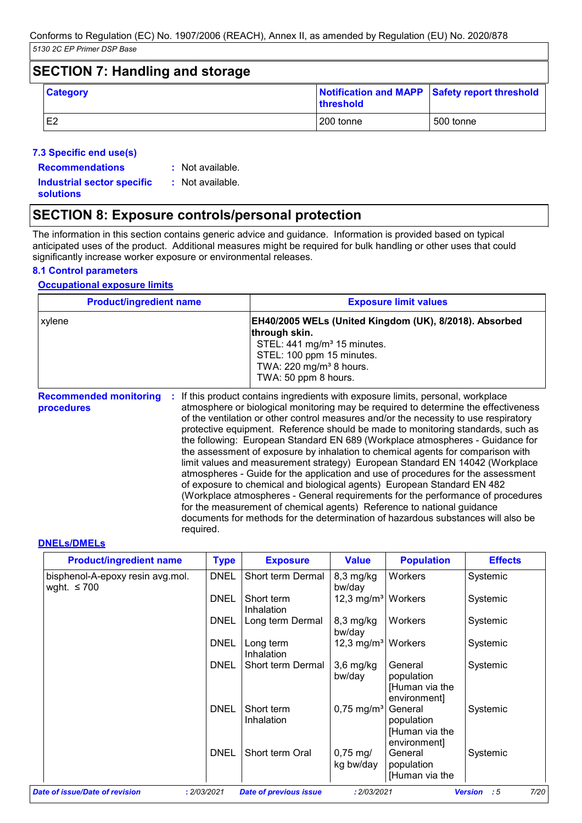# **SECTION 7: Handling and storage**

| <b>Category</b> | Notification and MAPP Safety report threshold<br>threshold |           |
|-----------------|------------------------------------------------------------|-----------|
| E2              | 200 tonne                                                  | 500 tonne |

# **7.3 Specific end use(s)**

- **Recommendations :**
- : Not available.

**Industrial sector specific : solutions**

: Not available.

# **SECTION 8: Exposure controls/personal protection**

required.

The information in this section contains generic advice and guidance. Information is provided based on typical anticipated uses of the product. Additional measures might be required for bulk handling or other uses that could significantly increase worker exposure or environmental releases.

# **8.1 Control parameters**

## **Occupational exposure limits**

| <b>Product/ingredient name</b>                     |  | <b>Exposure limit values</b>                                                                                                                                                                                                                                                                                                                                                                                                                                                                                                                                                                                                                                                                                                                                                                                                                                                                                                                                                                                        |  |  |
|----------------------------------------------------|--|---------------------------------------------------------------------------------------------------------------------------------------------------------------------------------------------------------------------------------------------------------------------------------------------------------------------------------------------------------------------------------------------------------------------------------------------------------------------------------------------------------------------------------------------------------------------------------------------------------------------------------------------------------------------------------------------------------------------------------------------------------------------------------------------------------------------------------------------------------------------------------------------------------------------------------------------------------------------------------------------------------------------|--|--|
| xylene                                             |  | EH40/2005 WELs (United Kingdom (UK), 8/2018). Absorbed<br>through skin.<br>STEL: 441 mg/m <sup>3</sup> 15 minutes.<br>STEL: 100 ppm 15 minutes.<br>TWA: 220 mg/m <sup>3</sup> 8 hours.<br>TWA: 50 ppm 8 hours.                                                                                                                                                                                                                                                                                                                                                                                                                                                                                                                                                                                                                                                                                                                                                                                                      |  |  |
| <b>Recommended monitoring</b><br><b>procedures</b> |  | If this product contains ingredients with exposure limits, personal, workplace<br>atmosphere or biological monitoring may be required to determine the effectiveness<br>of the ventilation or other control measures and/or the necessity to use respiratory<br>protective equipment. Reference should be made to monitoring standards, such as<br>the following: European Standard EN 689 (Workplace atmospheres - Guidance for<br>the assessment of exposure by inhalation to chemical agents for comparison with<br>limit values and measurement strategy) European Standard EN 14042 (Workplace<br>atmospheres - Guide for the application and use of procedures for the assessment<br>of exposure to chemical and biological agents) European Standard EN 482<br>(Workplace atmospheres - General requirements for the performance of procedures<br>for the measurement of chemical agents) Reference to national guidance<br>documents for methods for the determination of hazardous substances will also be |  |  |

#### **DNELs/DMELs**

| <b>DNEL</b><br>bisphenol-A-epoxy resin avg.mol.<br><b>DNEL</b><br><b>DNEL</b> | Short term Dermal<br>Short term<br>Inhalation<br>Long term Dermal | $8,3$ mg/kg<br>bw/day<br>12,3 mg/m <sup>3</sup>   Workers | Workers                                                 | Systemic<br>Systemic                                   |
|-------------------------------------------------------------------------------|-------------------------------------------------------------------|-----------------------------------------------------------|---------------------------------------------------------|--------------------------------------------------------|
|                                                                               |                                                                   |                                                           |                                                         |                                                        |
|                                                                               |                                                                   |                                                           |                                                         |                                                        |
|                                                                               |                                                                   | $8,3$ mg/kg<br>bw/day                                     | Workers                                                 | Systemic                                               |
| <b>DNEL</b>                                                                   | Long term<br>Inhalation                                           | 12,3 mg/m <sup>3</sup>   Workers                          |                                                         | Systemic                                               |
| <b>DNEL</b>                                                                   | Short term Dermal                                                 | $3,6$ mg/kg<br>bw/day                                     | General<br>population<br>[Human via the<br>environment] | Systemic                                               |
| <b>DNEL</b>                                                                   | Short term<br>Inhalation                                          |                                                           | General<br>population<br>[Human via the<br>environment] | Systemic                                               |
| <b>DNEL</b>                                                                   | Short term Oral                                                   | $0,75 \,\mathrm{mg}$<br>kg bw/day                         | General<br>population<br>[Human via the                 | Systemic                                               |
|                                                                               | : 2/03/2021                                                       | <b>Date of previous issue</b>                             |                                                         | $0,75 \text{ mg/m}^3$<br>: 2/03/2021<br><b>Version</b> |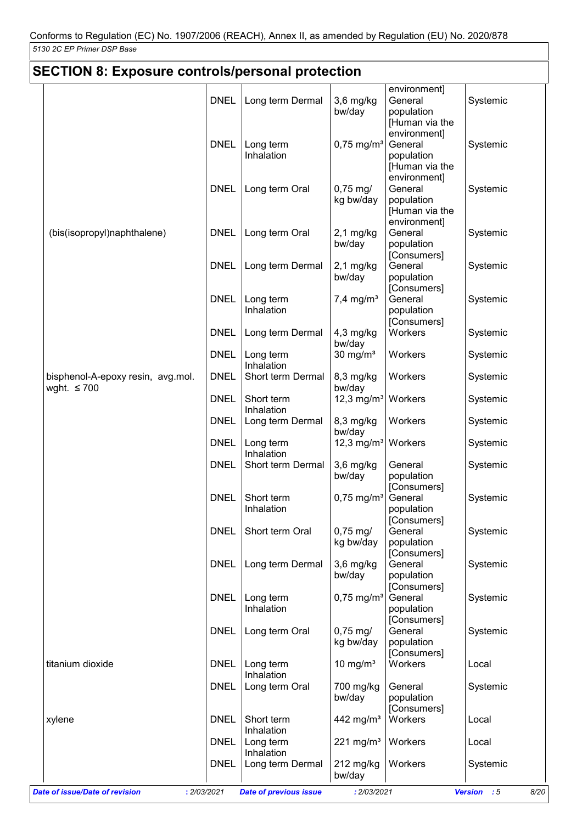| <b>SECTION 8: Exposure controls/personal protection</b> |             |                               |                                |                                                         |                     |
|---------------------------------------------------------|-------------|-------------------------------|--------------------------------|---------------------------------------------------------|---------------------|
|                                                         | <b>DNEL</b> | Long term Dermal              | $3,6$ mg/kg<br>bw/day          | environment]<br>General<br>population<br>[Human via the | Systemic            |
|                                                         | <b>DNEL</b> | Long term<br>Inhalation       | $0,75$ mg/m <sup>3</sup>       | environment]<br>General<br>population<br>[Human via the | Systemic            |
|                                                         | <b>DNEL</b> | Long term Oral                | $0,75 \text{ mg}$<br>kg bw/day | environment]<br>General<br>population<br>[Human via the | Systemic            |
| (bis(isopropyl)naphthalene)                             | <b>DNEL</b> | Long term Oral                | $2,1$ mg/kg<br>bw/day          | environment]<br>General<br>population<br>[Consumers]    | Systemic            |
|                                                         | <b>DNEL</b> | Long term Dermal              | $2,1$ mg/kg<br>bw/day          | General<br>population<br>[Consumers]                    | Systemic            |
|                                                         | <b>DNEL</b> | Long term<br>Inhalation       | $7,4$ mg/m <sup>3</sup>        | General<br>population<br>[Consumers]                    | Systemic            |
|                                                         | <b>DNEL</b> | Long term Dermal              | $4,3$ mg/kg<br>bw/day          | Workers                                                 | Systemic            |
|                                                         | <b>DNEL</b> | Long term<br>Inhalation       | 30 mg/ $m3$                    | Workers                                                 | Systemic            |
| bisphenol-A-epoxy resin, avg.mol.<br>wght. $\leq 700$   | <b>DNEL</b> | Short term Dermal             | 8,3 mg/kg<br>bw/day            | Workers                                                 | Systemic            |
|                                                         | <b>DNEL</b> | Short term<br>Inhalation      | 12,3 mg/ $m^3$                 | Workers                                                 | Systemic            |
|                                                         | <b>DNEL</b> | Long term Dermal              | 8,3 mg/kg<br>bw/day            | Workers                                                 | Systemic            |
|                                                         | <b>DNEL</b> | Long term<br>Inhalation       | 12,3 mg/m <sup>3</sup>         | Workers                                                 | Systemic            |
|                                                         | <b>DNEL</b> | Short term Dermal             | $3,6$ mg/kg<br>bw/day          | General<br>population<br>[Consumers]                    | Systemic            |
|                                                         |             | DNEL Short term<br>Inhalation | 0,75 mg/m <sup>3</sup> General | population<br>[Consumers]                               | Systemic            |
|                                                         | <b>DNEL</b> | Short term Oral               | $0,75 \text{ mg}$<br>kg bw/day | General<br>population<br>[Consumers]                    | Systemic            |
|                                                         | <b>DNEL</b> | Long term Dermal              | 3,6 mg/kg<br>bw/day            | General<br>population<br>[Consumers]                    | Systemic            |
|                                                         | <b>DNEL</b> | Long term<br>Inhalation       | $0,75$ mg/m <sup>3</sup>       | General<br>population                                   | Systemic            |
|                                                         | <b>DNEL</b> | Long term Oral                | $0,75 \text{ mg}$<br>kg bw/day | [Consumers]<br>General<br>population                    | Systemic            |
| titanium dioxide                                        | <b>DNEL</b> | Long term<br>Inhalation       | 10 mg/ $m3$                    | [Consumers]<br>Workers                                  | Local               |
|                                                         | <b>DNEL</b> | Long term Oral                | 700 mg/kg<br>bw/day            | General<br>population<br>[Consumers]                    | Systemic            |
| xylene                                                  | <b>DNEL</b> | Short term<br>Inhalation      | 442 mg/m <sup>3</sup>          | Workers                                                 | Local               |
|                                                         | <b>DNEL</b> | Long term<br>Inhalation       | 221 mg/m <sup>3</sup>          | Workers                                                 | Local               |
|                                                         | <b>DNEL</b> | Long term Dermal              | 212 mg/kg<br>bw/day            | Workers                                                 | Systemic            |
| Date of issue/Date of revision<br>: 2/03/2021           |             | <b>Date of previous issue</b> | : 2/03/2021                    |                                                         | Version : 5<br>8/20 |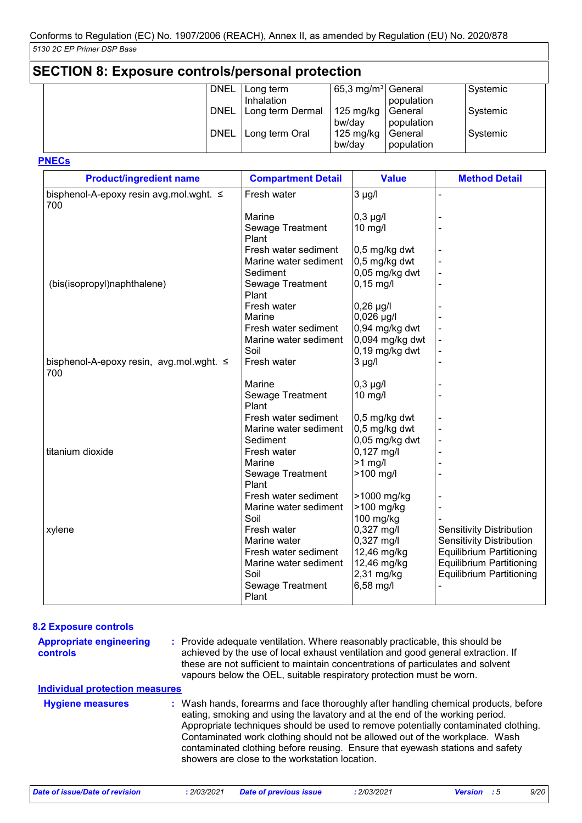# **SECTION 8: Exposure controls/personal protection**

| <b>DNEL</b> | I Long term             | 65,3 mg/m <sup>3</sup> General |            | Systemic |
|-------------|-------------------------|--------------------------------|------------|----------|
|             | Inhalation              |                                | population |          |
|             | DNEL   Long term Dermal | 125 mg/kg                      | General    | Systemic |
|             |                         | bw/dav                         | population |          |
| <b>DNEL</b> | Long term Oral          | 125 mg/kg                      | General    | Systemic |
|             |                         | bw/dav                         | population |          |

**PNECs**

| <b>Product/ingredient name</b>                  | <b>Compartment Detail</b> | <b>Value</b>    | <b>Method Detail</b>            |
|-------------------------------------------------|---------------------------|-----------------|---------------------------------|
| bisphenol-A-epoxy resin avg.mol.wght. ≤<br>700  | Fresh water               | $3$ µg/l        | $\blacksquare$                  |
|                                                 | Marine                    | $0,3$ µg/l      |                                 |
|                                                 | Sewage Treatment<br>Plant | 10 mg/l         | $\blacksquare$                  |
|                                                 | Fresh water sediment      | 0,5 mg/kg dwt   |                                 |
|                                                 | Marine water sediment     | 0,5 mg/kg dwt   |                                 |
|                                                 | Sediment                  | 0,05 mg/kg dwt  | $\blacksquare$                  |
| (bis(isopropyl)naphthalene)                     | Sewage Treatment<br>Plant | $0,15$ mg/l     |                                 |
|                                                 | Fresh water               | $0,26 \mu g/l$  |                                 |
|                                                 | Marine                    | $0,026$ µg/l    |                                 |
|                                                 | Fresh water sediment      | 0,94 mg/kg dwt  |                                 |
|                                                 | Marine water sediment     | 0,094 mg/kg dwt |                                 |
|                                                 | Soil                      | 0,19 mg/kg dwt  |                                 |
| bisphenol-A-epoxy resin, avg.mol.wght. ≤<br>700 | Fresh water               | $3 \mu g/l$     | $\overline{\phantom{a}}$        |
|                                                 | Marine                    | $0,3$ µg/l      |                                 |
|                                                 | Sewage Treatment<br>Plant | 10 mg/l         |                                 |
|                                                 | Fresh water sediment      | 0,5 mg/kg dwt   |                                 |
|                                                 | Marine water sediment     | 0,5 mg/kg dwt   |                                 |
|                                                 | Sediment                  | 0,05 mg/kg dwt  |                                 |
| titanium dioxide                                | Fresh water               | 0,127 mg/l      |                                 |
|                                                 | Marine                    | $>1$ mg/l       |                                 |
|                                                 | Sewage Treatment<br>Plant | >100 mg/l       |                                 |
|                                                 | Fresh water sediment      | >1000 mg/kg     |                                 |
|                                                 | Marine water sediment     | >100 mg/kg      |                                 |
|                                                 | Soil                      | 100 mg/kg       |                                 |
| xylene                                          | Fresh water               | 0,327 mg/l      | <b>Sensitivity Distribution</b> |
|                                                 | Marine water              | 0,327 mg/l      | Sensitivity Distribution        |
|                                                 | Fresh water sediment      | 12,46 mg/kg     | <b>Equilibrium Partitioning</b> |
|                                                 | Marine water sediment     | 12,46 mg/kg     | <b>Equilibrium Partitioning</b> |
|                                                 | Soil                      | 2,31 mg/kg      | <b>Equilibrium Partitioning</b> |
|                                                 | Sewage Treatment<br>Plant | 6,58 mg/l       |                                 |

Provide adequate ventilation. Where reasonably practicable, this should be **:** achieved by the use of local exhaust ventilation and good general extraction. If these are not sufficient to maintain concentrations of particulates and solvent vapours below the OEL, suitable respiratory protection must be worn. **Appropriate engineering controls** Wash hands, forearms and face thoroughly after handling chemical products, before eating, smoking and using the lavatory and at the end of the working period. Appropriate techniques should be used to remove potentially contaminated clothing. Contaminated work clothing should not be allowed out of the workplace. Wash contaminated clothing before reusing. Ensure that eyewash stations and safety showers are close to the workstation location. **8.2 Exposure controls Hygiene measures : Individual protection measures**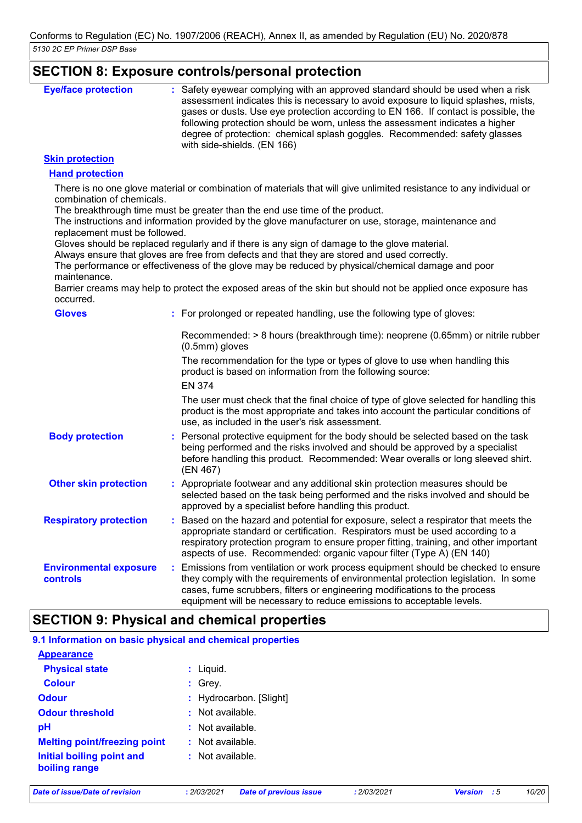# **SECTION 8: Exposure controls/personal protection**

| <b>Eye/face protection</b> | : Safety eyewear complying with an approved standard should be used when a risk<br>assessment indicates this is necessary to avoid exposure to liquid splashes, mists,<br>gases or dusts. Use eye protection according to EN 166. If contact is possible, the<br>following protection should be worn, unless the assessment indicates a higher |
|----------------------------|------------------------------------------------------------------------------------------------------------------------------------------------------------------------------------------------------------------------------------------------------------------------------------------------------------------------------------------------|
|                            | degree of protection: chemical splash goggles. Recommended: safety glasses<br>with side-shields. (EN 166)                                                                                                                                                                                                                                      |

## **Skin protection**

#### **Hand protection**

There is no one glove material or combination of materials that will give unlimited resistance to any individual or combination of chemicals.

The breakthrough time must be greater than the end use time of the product.

The instructions and information provided by the glove manufacturer on use, storage, maintenance and replacement must be followed.

Gloves should be replaced regularly and if there is any sign of damage to the glove material.

Always ensure that gloves are free from defects and that they are stored and used correctly.

The performance or effectiveness of the glove may be reduced by physical/chemical damage and poor maintenance.

Barrier creams may help to protect the exposed areas of the skin but should not be applied once exposure has occurred.

| <b>Gloves</b>                                    | : For prolonged or repeated handling, use the following type of gloves:                                                                                                                                                                                                                                                                  |
|--------------------------------------------------|------------------------------------------------------------------------------------------------------------------------------------------------------------------------------------------------------------------------------------------------------------------------------------------------------------------------------------------|
|                                                  | Recommended: > 8 hours (breakthrough time): neoprene (0.65mm) or nitrile rubber<br>$(0.5mm)$ gloves                                                                                                                                                                                                                                      |
|                                                  | The recommendation for the type or types of glove to use when handling this<br>product is based on information from the following source:                                                                                                                                                                                                |
|                                                  | <b>EN 374</b>                                                                                                                                                                                                                                                                                                                            |
|                                                  | The user must check that the final choice of type of glove selected for handling this<br>product is the most appropriate and takes into account the particular conditions of<br>use, as included in the user's risk assessment.                                                                                                          |
| <b>Body protection</b>                           | : Personal protective equipment for the body should be selected based on the task<br>being performed and the risks involved and should be approved by a specialist<br>before handling this product. Recommended: Wear overalls or long sleeved shirt.<br>(EN 467)                                                                        |
| <b>Other skin protection</b>                     | : Appropriate footwear and any additional skin protection measures should be<br>selected based on the task being performed and the risks involved and should be<br>approved by a specialist before handling this product.                                                                                                                |
| <b>Respiratory protection</b>                    | : Based on the hazard and potential for exposure, select a respirator that meets the<br>appropriate standard or certification. Respirators must be used according to a<br>respiratory protection program to ensure proper fitting, training, and other important<br>aspects of use. Recommended: organic vapour filter (Type A) (EN 140) |
| <b>Environmental exposure</b><br><b>controls</b> | : Emissions from ventilation or work process equipment should be checked to ensure<br>they comply with the requirements of environmental protection legislation. In some<br>cases, fume scrubbers, filters or engineering modifications to the process<br>equipment will be necessary to reduce emissions to acceptable levels.          |

# **SECTION 9: Physical and chemical properties**

| 9.1 Information on basic physical and chemical properties |                         |
|-----------------------------------------------------------|-------------------------|
| <b>Appearance</b>                                         |                         |
| <b>Physical state</b>                                     | $:$ Liquid.             |
| <b>Colour</b>                                             | $:$ Grey.               |
| <b>Odour</b>                                              | : Hydrocarbon. [Slight] |
| <b>Odour threshold</b>                                    | $:$ Not available.      |
| рH                                                        | $:$ Not available.      |
| <b>Melting point/freezing point</b>                       | : Not available.        |
| Initial boiling point and<br>boiling range                | : Not available.        |

*Date of issue/Date of revision* **:** *2/03/2021 Date of previous issue : 2/03/2021 Version : 5 10/20*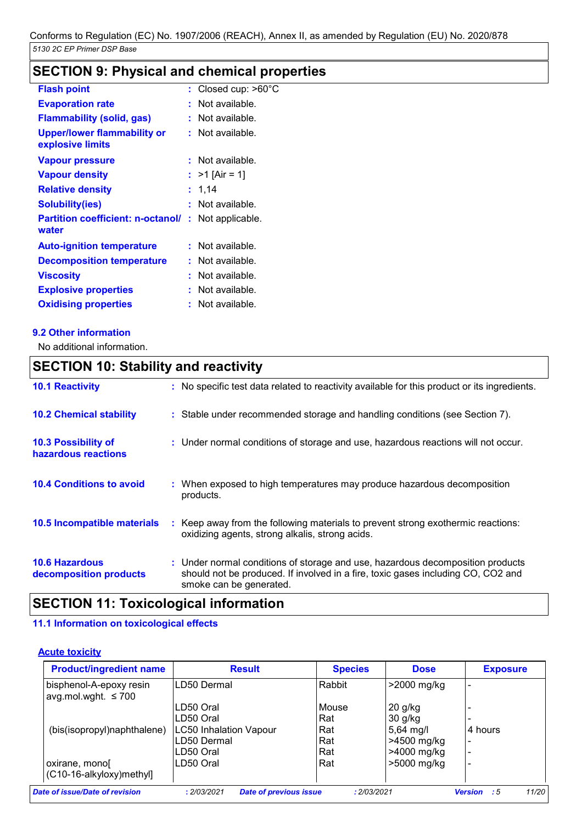# **SECTION 9: Physical and chemical properties**

| <b>Flash point</b>                                |    | : Closed cup: $>60^{\circ}$ C |
|---------------------------------------------------|----|-------------------------------|
| <b>Evaporation rate</b>                           | ÷  | Not available.                |
| <b>Flammability (solid, gas)</b>                  |    | Not available.                |
| Upper/lower flammability or<br>explosive limits   |    | : Not available.              |
| <b>Vapour pressure</b>                            |    | Not available.                |
| <b>Vapour density</b>                             |    | : $>1$ [Air = 1]              |
| <b>Relative density</b>                           |    | : 1.14                        |
| Solubility(ies)                                   |    | Not available.                |
| <b>Partition coefficient: n-octanol/</b><br>water | t. | Not applicable.               |
| <b>Auto-ignition temperature</b>                  |    | : Not available.              |
| <b>Decomposition temperature</b>                  |    | Not available.                |
| <b>Viscosity</b>                                  |    | Not available.                |
| <b>Explosive properties</b>                       | ÷  | Not available.                |
| <b>Oxidising properties</b>                       |    | Not available.                |
|                                                   |    |                               |

#### **9.2 Other information**

No additional information.

# **SECTION 10: Stability and reactivity**

| <b>10.1 Reactivity</b>                            | : No specific test data related to reactivity available for this product or its ingredients.                                                                                                  |
|---------------------------------------------------|-----------------------------------------------------------------------------------------------------------------------------------------------------------------------------------------------|
| <b>10.2 Chemical stability</b>                    | : Stable under recommended storage and handling conditions (see Section 7).                                                                                                                   |
| <b>10.3 Possibility of</b><br>hazardous reactions | : Under normal conditions of storage and use, hazardous reactions will not occur.                                                                                                             |
| <b>10.4 Conditions to avoid</b>                   | : When exposed to high temperatures may produce hazardous decomposition<br>products.                                                                                                          |
| 10.5 Incompatible materials                       | : Keep away from the following materials to prevent strong exothermic reactions:<br>oxidizing agents, strong alkalis, strong acids.                                                           |
| <b>10.6 Hazardous</b><br>decomposition products   | : Under normal conditions of storage and use, hazardous decomposition products<br>should not be produced. If involved in a fire, toxic gases including CO, CO2 and<br>smoke can be generated. |

# **SECTION 11: Toxicological information**

# **11.1 Information on toxicological effects**

#### **Acute toxicity**

| <b>Product/ingredient name</b>                      | <b>Result</b>                 | <b>Species</b> | <b>Dose</b>   | <b>Exposure</b> |
|-----------------------------------------------------|-------------------------------|----------------|---------------|-----------------|
| bisphenol-A-epoxy resin<br>avg.mol.wght. $\leq 700$ | LD50 Dermal                   | Rabbit         | $>2000$ mg/kg |                 |
|                                                     | LD50 Oral                     | Mouse          | $20$ g/kg     |                 |
|                                                     | LD50 Oral                     | ı Rat          | $30$ g/kg     |                 |
| (bis(isopropyl)naphthalene)                         | <b>LC50 Inhalation Vapour</b> | l Rat          | $5,64$ mg/l   | 4 hours         |
|                                                     | LD50 Dermal                   | Rat            | >4500 mg/kg   |                 |
|                                                     | LD50 Oral                     | Rat            | >4000 mg/kg   |                 |
| oxirane, mono                                       | LD50 Oral                     | l Rat          | >5000 mg/kg   |                 |
| (C10-16-alkyloxy)methyl]                            |                               |                |               |                 |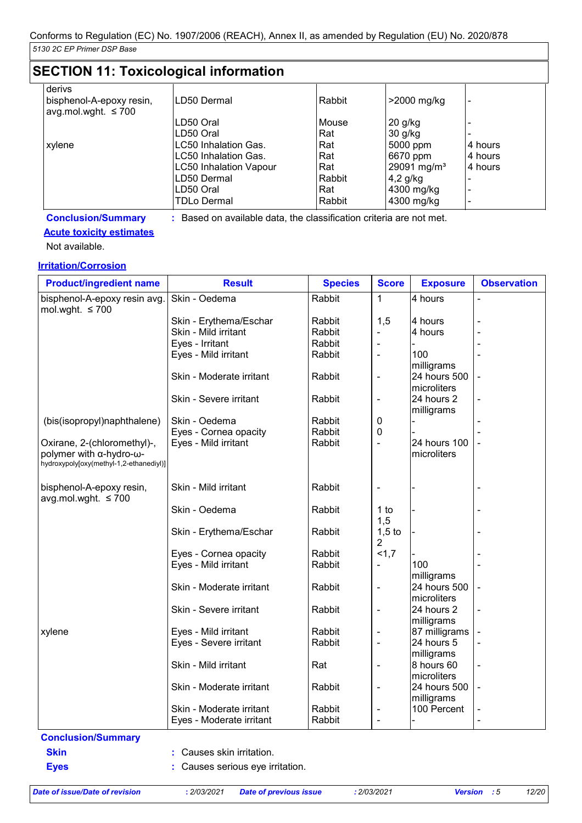| derivs<br>bisphenol-A-epoxy resin,<br>avg.mol.wght. $\leq 700$ | LD50 Dermal                   | Rabbit | >2000 mg/kg             |         |
|----------------------------------------------------------------|-------------------------------|--------|-------------------------|---------|
|                                                                | LD50 Oral                     | Mouse  | $20$ g/kg               |         |
|                                                                | LD50 Oral                     | Rat    | $30$ g/kg               |         |
| xylene                                                         | LC50 Inhalation Gas.          | Rat    | 5000 ppm                | 4 hours |
|                                                                | LC50 Inhalation Gas.          | Rat    | 6670 ppm                | 4 hours |
|                                                                | <b>LC50 Inhalation Vapour</b> | Rat    | 29091 mg/m <sup>3</sup> | 4 hours |
|                                                                | LD50 Dermal                   | Rabbit | $4,2$ g/kg              |         |
|                                                                | LD50 Oral                     | Rat    | 4300 mg/kg              |         |
|                                                                | TDLo Dermal                   | Rabbit | 4300 mg/kg              |         |

**Conclusion/Summary :** Based on available data, the classification criteria are not met.

# **Acute toxicity estimates**

Not available.

#### **Irritation/Corrosion**

| <b>Product/ingredient name</b>                                     | <b>Result</b>            | <b>Species</b> | <b>Score</b>             | <b>Exposure</b>             | <b>Observation</b> |
|--------------------------------------------------------------------|--------------------------|----------------|--------------------------|-----------------------------|--------------------|
| bisphenol-A-epoxy resin avg.<br>mol.wght. $\leq 700$               | Skin - Oedema            | Rabbit         | 1                        | 4 hours                     |                    |
|                                                                    | Skin - Erythema/Eschar   | Rabbit         | 1,5                      | 4 hours                     |                    |
|                                                                    | Skin - Mild irritant     | Rabbit         |                          | 4 hours                     |                    |
|                                                                    | Eyes - Irritant          | Rabbit         | $\blacksquare$           |                             |                    |
|                                                                    | Eyes - Mild irritant     | Rabbit         | $\blacksquare$           | 100                         |                    |
|                                                                    |                          |                |                          | milligrams                  |                    |
|                                                                    | Skin - Moderate irritant | Rabbit         | $\overline{\phantom{a}}$ | 24 hours 500<br>microliters |                    |
|                                                                    | Skin - Severe irritant   | Rabbit         | $\blacksquare$           | 24 hours 2                  |                    |
|                                                                    |                          |                |                          | milligrams                  |                    |
| (bis(isopropyl)naphthalene)                                        | Skin - Oedema            | Rabbit         | 0                        |                             |                    |
|                                                                    | Eyes - Cornea opacity    | Rabbit         | 0                        |                             |                    |
| Oxirane, 2-(chloromethyl)-,                                        | Eyes - Mild irritant     | Rabbit         | $\blacksquare$           | 24 hours 100                |                    |
| polymer with α-hydro-ω-<br>hydroxypoly[oxy(methyl-1,2-ethanediyl)] |                          |                |                          | microliters                 |                    |
| bisphenol-A-epoxy resin,<br>avg.mol.wght. $\leq 700$               | Skin - Mild irritant     | Rabbit         |                          |                             |                    |
|                                                                    | Skin - Oedema            | Rabbit         | 1 to<br>1,5              |                             |                    |
|                                                                    | Skin - Erythema/Eschar   | Rabbit         | $1,5$ to<br>2            |                             |                    |
|                                                                    | Eyes - Cornea opacity    | Rabbit         | 1,7                      |                             |                    |
|                                                                    | Eyes - Mild irritant     | Rabbit         | $\blacksquare$           | 100                         |                    |
|                                                                    |                          |                |                          | milligrams                  |                    |
|                                                                    | Skin - Moderate irritant | Rabbit         | $\overline{\phantom{a}}$ | 24 hours 500                |                    |
|                                                                    |                          |                |                          | microliters                 |                    |
|                                                                    | Skin - Severe irritant   | Rabbit         | $\blacksquare$           | 24 hours 2                  |                    |
|                                                                    |                          |                |                          | milligrams                  |                    |
| xylene                                                             | Eyes - Mild irritant     | Rabbit         | $\blacksquare$           | 87 milligrams               |                    |
|                                                                    | Eyes - Severe irritant   | Rabbit         | $\blacksquare$           | 24 hours 5                  |                    |
|                                                                    |                          |                |                          | milligrams                  |                    |
|                                                                    | Skin - Mild irritant     | Rat            | $\blacksquare$           | 8 hours 60                  |                    |
|                                                                    |                          |                |                          | microliters                 |                    |
|                                                                    | Skin - Moderate irritant | Rabbit         | $\overline{\phantom{a}}$ | 24 hours 500                |                    |
|                                                                    |                          |                |                          | milligrams                  |                    |
|                                                                    | Skin - Moderate irritant | Rabbit         | $\blacksquare$           | 100 Percent                 |                    |
|                                                                    |                          |                |                          |                             |                    |

**Skin :** Causes skin irritation.

**Eyes :** Causes serious eye irritation.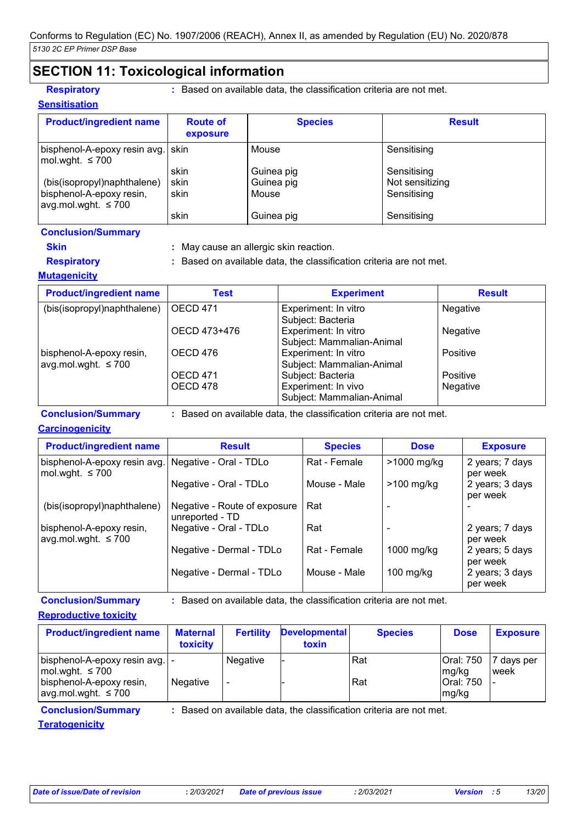**Respiratory :** Based on available data, the classification criteria are not met.

# **Sensitisation**

| <b>Product/ingredient name</b>                                                               | <b>Route of</b><br>exposure | <b>Species</b>                    | <b>Result</b>                                 |
|----------------------------------------------------------------------------------------------|-----------------------------|-----------------------------------|-----------------------------------------------|
| bisphenol-A-epoxy resin avg.   skin<br>$mod(wight. \leq 700)$                                |                             | Mouse                             | Sensitising                                   |
| (bis(isopropyl)naphthalene)<br>bisphenol-A-epoxy resin,<br>$\alpha$ avg.mol.wght. $\leq 700$ | skin<br>skin<br>skin        | Guinea pig<br>Guinea pig<br>Mouse | Sensitising<br>Not sensitizing<br>Sensitising |
|                                                                                              | skin                        | Guinea pig                        | Sensitising                                   |

#### **Conclusion/Summary**

**Skin :** May cause an allergic skin reaction.

**Respiratory :** Based on available data, the classification criteria are not met.

# **Mutagenicity**

| <b>Product/ingredient name</b>                       | Test         | <b>Experiment</b>                                 | <b>Result</b> |
|------------------------------------------------------|--------------|---------------------------------------------------|---------------|
| (bis(isopropyl)naphthalene)                          | OECD 471     | Experiment: In vitro<br>Subject: Bacteria         | Negative      |
|                                                      | OECD 473+476 | Experiment: In vitro<br>Subject: Mammalian-Animal | Negative      |
| bisphenol-A-epoxy resin,<br>avg.mol.wght. $\leq 700$ | OECD 476     | Experiment: In vitro<br>Subject: Mammalian-Animal | Positive      |
|                                                      | OECD 471     | Subject: Bacteria                                 | Positive      |
|                                                      | OECD 478     | Experiment: In vivo<br>Subject: Mammalian-Animal  | Negative      |

**Conclusion/Summary :** Based on available data, the classification criteria are not met.

# **Carcinogenicity**

| <b>Product/ingredient name</b>                       | <b>Result</b>                                   | <b>Species</b> | <b>Dose</b>   | <b>Exposure</b>             |
|------------------------------------------------------|-------------------------------------------------|----------------|---------------|-----------------------------|
| bisphenol-A-epoxy resin avg.<br>mol.wght. $\leq 700$ | Negative - Oral - TDLo                          | Rat - Female   | $>1000$ mg/kg | 2 years; 7 days<br>per week |
|                                                      | Negative - Oral - TDLo                          | Mouse - Male   | >100 mg/kg    | 2 years; 3 days<br>per week |
| (bis(isopropyl)naphthalene)                          | Negative - Route of exposure<br>unreported - TD | Rat            |               |                             |
| bisphenol-A-epoxy resin,<br>avg.mol.wght. $\leq 700$ | Negative - Oral - TDLo                          | Rat            |               | 2 years; 7 days<br>per week |
|                                                      | Negative - Dermal - TDLo                        | Rat - Female   | 1000 mg/kg    | 2 years; 5 days<br>per week |
|                                                      | Negative - Dermal - TDLo                        | Mouse - Male   | $100$ mg/kg   | 2 years; 3 days<br>per week |

**Conclusion/Summary :** Based on available data, the classification criteria are not met.

# **Reproductive toxicity**

| <b>Product/ingredient name</b>                                | <b>Maternal</b><br>toxicity | <b>Fertility</b>         | <b>Developmental</b><br>toxin | <b>Species</b> | <b>Dose</b>        | <b>Exposure</b>           |
|---------------------------------------------------------------|-----------------------------|--------------------------|-------------------------------|----------------|--------------------|---------------------------|
| bisphenol-A-epoxy resin avg.   -<br>$ mol.wight. \leq 700$    |                             | <b>Negative</b>          |                               | Rat            | Oral: 750<br>mg/kg | 7 days per<br><b>week</b> |
| bisphenol-A-epoxy resin,<br>$\alpha$ avg.mol.wght. $\leq 700$ | Negative                    | $\overline{\phantom{0}}$ |                               | Rat            | Oral: 750<br>mg/kg |                           |

**Conclusion/Summary :** Based on available data, the classification criteria are not met.

**Teratogenicity**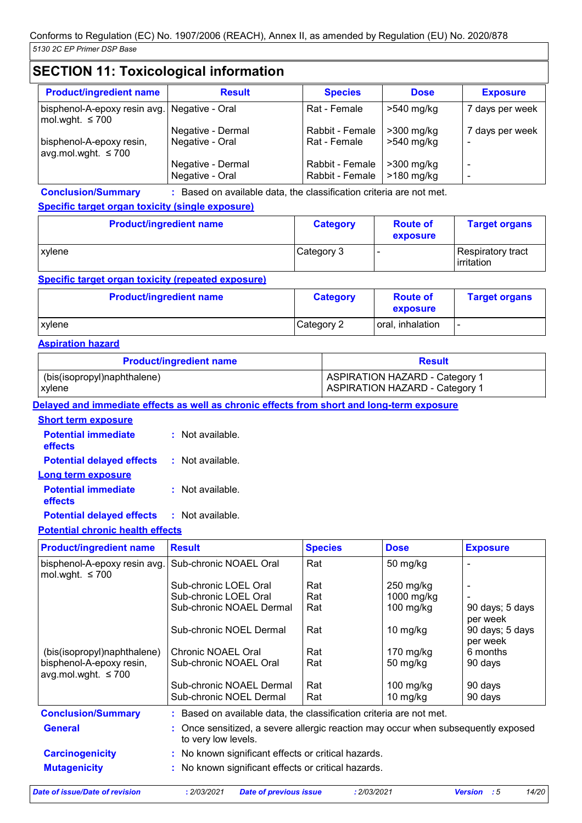| <b>Product/ingredient name</b>                       | <b>Result</b>                        | <b>Species</b>                     | <b>Dose</b>                  | <b>Exposure</b>                                      |
|------------------------------------------------------|--------------------------------------|------------------------------------|------------------------------|------------------------------------------------------|
| bisphenol-A-epoxy resin avg.<br>mol.wght. $\leq 700$ | Negative - Oral                      | Rat - Female                       | $>540$ mg/kg                 | 7 days per week                                      |
| bisphenol-A-epoxy resin,<br>avg.mol.wght. $\leq 700$ | Negative - Dermal<br>Negative - Oral | Rabbit - Female<br>Rat - Female    | $>300$ mg/kg<br>>540 mg/kg   | 7 days per week                                      |
|                                                      | Negative - Dermal<br>Negative - Oral | Rabbit - Female<br>Rabbit - Female | $>300$ mg/kg<br>$>180$ mg/kg | $\overline{\phantom{0}}$<br>$\overline{\phantom{0}}$ |

**Conclusion/Summary :** Based on available data, the classification criteria are not met.

# **Specific target organ toxicity (single exposure)**

| <b>Product/ingredient name</b> | <b>Category</b> | <b>Route of</b><br>exposure | <b>Target organs</b>                     |
|--------------------------------|-----------------|-----------------------------|------------------------------------------|
| xylene                         | Category 3      |                             | Respiratory tract<br><b>l</b> irritation |

# **Specific target organ toxicity (repeated exposure)**

| <b>Product/ingredient name</b> | <b>Category</b> | <b>Route of</b><br>exposure | <b>Target organs</b> |
|--------------------------------|-----------------|-----------------------------|----------------------|
| xylene                         | Category 2      | oral, inhalation            |                      |

## **Aspiration hazard**

| <b>Product/ingredient name</b> | <b>Result</b>                  |
|--------------------------------|--------------------------------|
| (bis(isopropyl)naphthalene)    | ASPIRATION HAZARD - Category 1 |
| <b>xylene</b>                  | ASPIRATION HAZARD - Category 1 |

## **Delayed and immediate effects as well as chronic effects from short and long-term exposure**

**Short term exposure**

| <b>Potential immediate</b><br>effects | $:$ Not available. |
|---------------------------------------|--------------------|
| <b>Potential delayed effects</b>      | : Not available.   |
| Long term exposure                    |                    |
| <b>Potential immediate</b><br>effects | $:$ Not available. |
| <b>Potential delayed effects</b>      | : Not available.   |

## **Potential chronic health effects**

| <b>Product/ingredient name</b>                       | <b>Result</b>                                                                                            | <b>Species</b> | <b>Dose</b> | <b>Exposure</b>             |
|------------------------------------------------------|----------------------------------------------------------------------------------------------------------|----------------|-------------|-----------------------------|
| bisphenol-A-epoxy resin avg.<br>mol.wght. $\leq 700$ | Sub-chronic NOAEL Oral                                                                                   | Rat            | 50 mg/kg    |                             |
|                                                      | Sub-chronic LOEL Oral                                                                                    | Rat            | 250 mg/kg   |                             |
|                                                      | Sub-chronic LOEL Oral                                                                                    | Rat            | 1000 mg/kg  |                             |
|                                                      | Sub-chronic NOAEL Dermal                                                                                 | Rat            | $100$ mg/kg | 90 days; 5 days<br>per week |
|                                                      | Sub-chronic NOEL Dermal                                                                                  | Rat            | 10 mg/kg    | 90 days; 5 days<br>per week |
| (bis(isopropyl)naphthalene)                          | Chronic NOAEL Oral                                                                                       | Rat            | $170$ mg/kg | 6 months                    |
| bisphenol-A-epoxy resin,<br>avg.mol.wght. $\leq 700$ | Sub-chronic NOAEL Oral                                                                                   | Rat            | 50 mg/kg    | 90 days                     |
|                                                      | Sub-chronic NOAEL Dermal                                                                                 | Rat            | $100$ mg/kg | 90 days                     |
|                                                      | Sub-chronic NOEL Dermal                                                                                  | Rat            | 10 $mg/kg$  | 90 days                     |
| <b>Conclusion/Summary</b>                            | : Based on available data, the classification criteria are not met.                                      |                |             |                             |
| <b>General</b>                                       | : Once sensitized, a severe allergic reaction may occur when subsequently exposed<br>to very low levels. |                |             |                             |
| <b>Carcinogenicity</b>                               | : No known significant effects or critical hazards.                                                      |                |             |                             |
| <b>Mutagenicity</b>                                  | : No known significant effects or critical hazards.                                                      |                |             |                             |

*Date of issue/Date of revision* **:** *2/03/2021 Date of previous issue : 2/03/2021 Version : 5 14/20*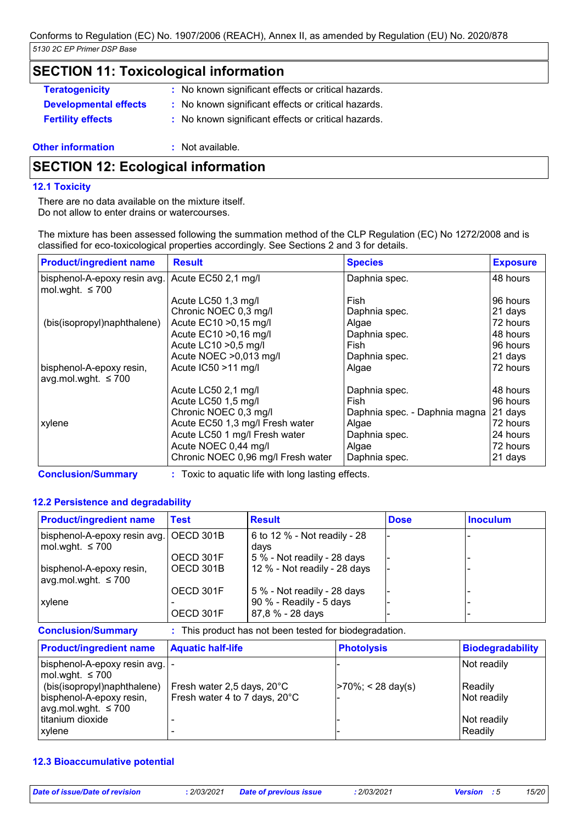- 
- **Teratogenicity :** No known significant effects or critical hazards.
- **Developmental effects :** No known significant effects or critical hazards.
- **Fertility effects :** No known significant effects or critical hazards.

## **Other information :** Not available.

# **SECTION 12: Ecological information**

## **12.1 Toxicity**

There are no data available on the mixture itself. Do not allow to enter drains or watercourses.

The mixture has been assessed following the summation method of the CLP Regulation (EC) No 1272/2008 and is classified for eco-toxicological properties accordingly. See Sections 2 and 3 for details.

| <b>Product/ingredient name</b>                       | <b>Result</b>                      | <b>Species</b>                | <b>Exposure</b> |
|------------------------------------------------------|------------------------------------|-------------------------------|-----------------|
| bisphenol-A-epoxy resin avg.<br>mol.wght. $\leq 700$ | Acute EC50 2,1 mg/l                | Daphnia spec.                 | 48 hours        |
|                                                      | Acute LC50 1,3 mg/l                | Fish                          | 96 hours        |
|                                                      | Chronic NOEC 0,3 mg/l              | Daphnia spec.                 | 21 days         |
| (bis(isopropyl)naphthalene)                          | Acute EC10 > 0,15 mg/l             | Algae                         | 72 hours        |
|                                                      | Acute EC10 > 0,16 mg/l             | Daphnia spec.                 | I48 hours       |
|                                                      | Acute LC10 > 0,5 mg/l              | Fish                          | I96 hours       |
|                                                      | Acute NOEC > 0,013 mg/l            | Daphnia spec.                 | 21 days         |
| bisphenol-A-epoxy resin,                             | Acute IC50 >11 mg/l                | Algae                         | 72 hours        |
| avg.mol.wght. $\leq 700$                             |                                    |                               |                 |
|                                                      | Acute LC50 2,1 mg/l                | Daphnia spec.                 | 48 hours        |
|                                                      | Acute LC50 1,5 mg/l                | Fish                          | 96 hours        |
|                                                      | Chronic NOEC 0,3 mg/l              | Daphnia spec. - Daphnia magna | 21 days         |
| xylene                                               | Acute EC50 1,3 mg/l Fresh water    | Algae                         | 72 hours        |
|                                                      | Acute LC50 1 mg/l Fresh water      | Daphnia spec.                 | I24 hours       |
|                                                      | Acute NOEC 0,44 mg/l               | Algae                         | 72 hours        |
|                                                      | Chronic NOEC 0,96 mg/l Fresh water | Daphnia spec.                 | 21 days         |

**Conclusion/Summary :** Toxic to aquatic life with long lasting effects.

# **12.2 Persistence and degradability**

| <b>Product/ingredient name</b>                                    | <b>Test</b>            | <b>Result</b>                                                              | <b>Dose</b> | <b>Inoculum</b> |
|-------------------------------------------------------------------|------------------------|----------------------------------------------------------------------------|-------------|-----------------|
| bisphenol-A-epoxy resin avg.   OECD 301B<br>$mod(wight. \leq 700$ |                        | 6 to 12 % - Not readily - 28<br>days                                       |             |                 |
| bisphenol-A-epoxy resin,<br>$\alpha$ avg.mol.wght. $\leq 700$     | OECD 301F<br>OECD 301B | 5 % - Not readily - 28 days<br>12 % - Not readily - 28 days                |             |                 |
| xylene                                                            | OECD 301F<br>OECD 301F | 5 % - Not readily - 28 days<br>90 % - Readily - 5 days<br>87,8 % - 28 days |             |                 |

**Conclusion/Summary :** This product has not been tested for biodegradation.

| <b>Product/ingredient name</b>                                                               | <b>Aquatic half-life</b>                                    | <b>Photolysis</b>     | Biodegradability       |
|----------------------------------------------------------------------------------------------|-------------------------------------------------------------|-----------------------|------------------------|
| bisphenol-A-epoxy resin avg.   -<br>$ $ mol.wght. $\leq$ 700                                 |                                                             |                       | Not readily            |
| (bis(isopropyl)naphthalene)<br>bisphenol-A-epoxy resin,<br>$\alpha$ avg.mol.wght. $\leq 700$ | Fresh water 2,5 days, 20°C<br>Fresh water 4 to 7 days, 20°C | $>70\%$ ; < 28 day(s) | Readily<br>Not readily |
| Ititanium dioxide<br><i>xvlene</i>                                                           |                                                             |                       | Not readily<br>Readily |

## **12.3 Bioaccumulative potential**

*Date of issue/Date of revision* **:** *2/03/2021 Date of previous issue : 2/03/2021 Version : 5 15/20*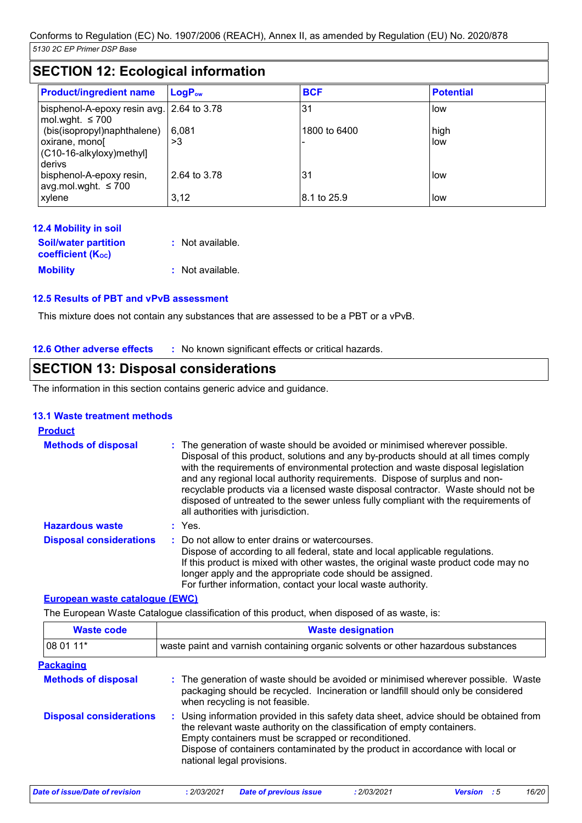| <b>SECTION 12: Ecological information</b> |              |                  |  |
|-------------------------------------------|--------------|------------------|--|
| $LoaPow$                                  | <b>BCF</b>   | <b>Potential</b> |  |
| bisphenol-A-epoxy resin avg. 2.64 to 3.78 | 31           | low              |  |
| 6.081                                     | 1800 to 6400 | high             |  |
| >3                                        |              | low              |  |
|                                           |              |                  |  |

| (bis(isopropyl)naphthalene)<br>oxirane, mono[<br>(C10-16-alkyloxy)methyl] | 6.081<br>>3  | 1800 to 6400 | high<br>l low |
|---------------------------------------------------------------------------|--------------|--------------|---------------|
| derivs<br>bisphenol-A-epoxy resin,<br>avg.mol.wght. ≤ 700                 | 2.64 to 3.78 | $3^{\circ}$  | low           |
| xvlene                                                                    | 3,12         | 8.1 to 25.9  | low           |

| 12.4 Mobility in soil                            |                  |
|--------------------------------------------------|------------------|
| <b>Soil/water partition</b><br>coefficient (Koc) | : Not available. |
| <b>Mobility</b>                                  | : Not available. |

## **12.5 Results of PBT and vPvB assessment**

This mixture does not contain any substances that are assessed to be a PBT or a vPvB.

**12.6 Other adverse effects** : No known significant effects or critical hazards.

# **SECTION 13: Disposal considerations**

The information in this section contains generic advice and guidance.

#### **13.1 Waste treatment methods**

| <b>Product</b>                 |                                                                                                                                                                                                                                                                                                                                                                                                                                                                                                                                                      |
|--------------------------------|------------------------------------------------------------------------------------------------------------------------------------------------------------------------------------------------------------------------------------------------------------------------------------------------------------------------------------------------------------------------------------------------------------------------------------------------------------------------------------------------------------------------------------------------------|
| <b>Methods of disposal</b>     | : The generation of waste should be avoided or minimised wherever possible.<br>Disposal of this product, solutions and any by-products should at all times comply<br>with the requirements of environmental protection and waste disposal legislation<br>and any regional local authority requirements. Dispose of surplus and non-<br>recyclable products via a licensed waste disposal contractor. Waste should not be<br>disposed of untreated to the sewer unless fully compliant with the requirements of<br>all authorities with jurisdiction. |
| <b>Hazardous waste</b>         | $:$ Yes.                                                                                                                                                                                                                                                                                                                                                                                                                                                                                                                                             |
| <b>Disposal considerations</b> | : Do not allow to enter drains or watercourses.<br>Dispose of according to all federal, state and local applicable regulations.<br>If this product is mixed with other wastes, the original waste product code may no<br>longer apply and the appropriate code should be assigned.<br>For further information, contact your local waste authority.                                                                                                                                                                                                   |

# **European waste catalogue (EWC)**

The European Waste Catalogue classification of this product, when disposed of as waste, is:

| <b>Waste code</b>              | <b>Waste designation</b>                                                                                                                                                                                                                                                                                                                |  |  |
|--------------------------------|-----------------------------------------------------------------------------------------------------------------------------------------------------------------------------------------------------------------------------------------------------------------------------------------------------------------------------------------|--|--|
| 08 01 11*                      | waste paint and varnish containing organic solvents or other hazardous substances                                                                                                                                                                                                                                                       |  |  |
| <b>Packaging</b>               |                                                                                                                                                                                                                                                                                                                                         |  |  |
| <b>Methods of disposal</b>     | : The generation of waste should be avoided or minimised wherever possible. Waste<br>packaging should be recycled. Incineration or landfill should only be considered<br>when recycling is not feasible.                                                                                                                                |  |  |
| <b>Disposal considerations</b> | : Using information provided in this safety data sheet, advice should be obtained from<br>the relevant waste authority on the classification of empty containers.<br>Empty containers must be scrapped or reconditioned.<br>Dispose of containers contaminated by the product in accordance with local or<br>national legal provisions. |  |  |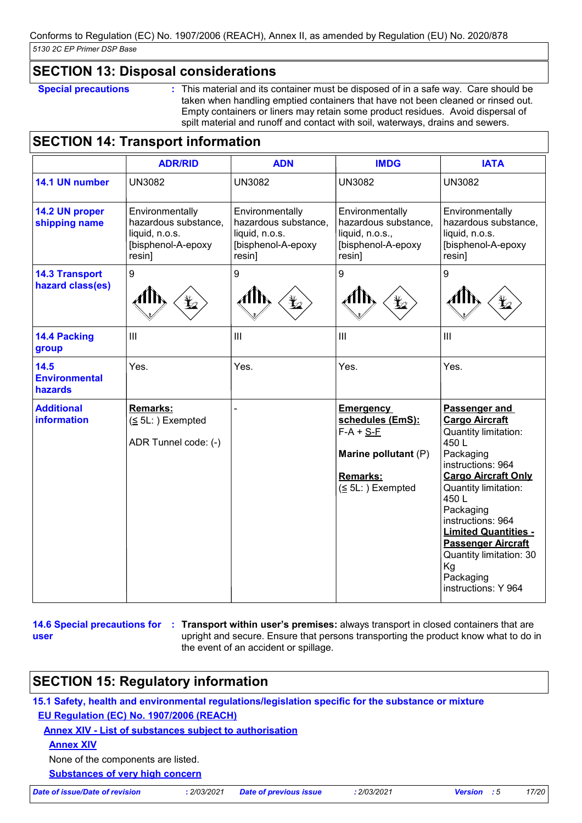# **SECTION 13: Disposal considerations**

**Special precautions :** This material and its container must be disposed of in a safe way. Care should be taken when handling emptied containers that have not been cleaned or rinsed out. Empty containers or liners may retain some product residues. Avoid dispersal of spilt material and runoff and contact with soil, waterways, drains and sewers.

# **SECTION 14: Transport information**

|                                           | <b>ADR/RID</b>                                                                            | <b>ADN</b>                                                                                | <b>IMDG</b>                                                                                                        | <b>IATA</b>                                                                                                                                                                                                                                                                                                                               |
|-------------------------------------------|-------------------------------------------------------------------------------------------|-------------------------------------------------------------------------------------------|--------------------------------------------------------------------------------------------------------------------|-------------------------------------------------------------------------------------------------------------------------------------------------------------------------------------------------------------------------------------------------------------------------------------------------------------------------------------------|
| 14.1 UN number                            | <b>UN3082</b>                                                                             | <b>UN3082</b>                                                                             | <b>UN3082</b>                                                                                                      | <b>UN3082</b>                                                                                                                                                                                                                                                                                                                             |
| 14.2 UN proper<br>shipping name           | Environmentally<br>hazardous substance,<br>liquid, n.o.s.<br>[bisphenol-A-epoxy<br>resin] | Environmentally<br>hazardous substance,<br>liquid, n.o.s.<br>[bisphenol-A-epoxy<br>resin] | Environmentally<br>hazardous substance,<br>liquid, n.o.s.,<br>[bisphenol-A-epoxy<br>resin]                         | Environmentally<br>hazardous substance.<br>liquid, n.o.s.<br>[bisphenol-A-epoxy<br>resin]                                                                                                                                                                                                                                                 |
| <b>14.3 Transport</b><br>hazard class(es) | 9                                                                                         | 9                                                                                         | 9                                                                                                                  | 9                                                                                                                                                                                                                                                                                                                                         |
| 14.4 Packing<br>group                     | III                                                                                       | III                                                                                       | III                                                                                                                | III                                                                                                                                                                                                                                                                                                                                       |
| 14.5<br><b>Environmental</b><br>hazards   | Yes.                                                                                      | Yes.                                                                                      | Yes.                                                                                                               | Yes.                                                                                                                                                                                                                                                                                                                                      |
| <b>Additional</b><br><b>information</b>   | <b>Remarks:</b><br>$(5L:)$ Exempted<br>ADR Tunnel code: (-)                               |                                                                                           | <b>Emergency</b><br>schedules (EmS):<br>$F-A + S-E$<br>Marine pollutant (P)<br><b>Remarks:</b><br>$(5L:)$ Exempted | Passenger and<br><b>Cargo Aircraft</b><br>Quantity limitation:<br>450L<br>Packaging<br>instructions: 964<br><b>Cargo Aircraft Only</b><br>Quantity limitation:<br>450L<br>Packaging<br>instructions: 964<br><b>Limited Quantities -</b><br><b>Passenger Aircraft</b><br>Quantity limitation: 30<br>Kg<br>Packaging<br>instructions: Y 964 |

```
user
```
**14.6 Special precautions for : Transport within user's premises:** always transport in closed containers that are upright and secure. Ensure that persons transporting the product know what to do in the event of an accident or spillage.

# **SECTION 15: Regulatory information**

**15.1 Safety, health and environmental regulations/legislation specific for the substance or mixture EU Regulation (EC) No. 1907/2006 (REACH)**

**Annex XIV - List of substances subject to authorisation**

**Annex XIV**

None of the components are listed.

**Substances of very high concern**

*Date of issue/Date of revision* **:** *2/03/2021 Date of previous issue : 2/03/2021 Version : 5 17/20*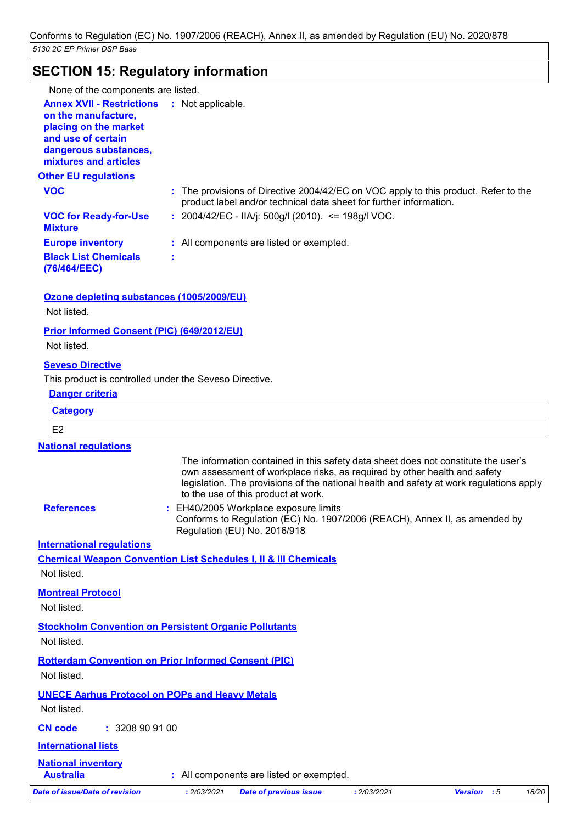# **SECTION 15: Regulatory information**

| None of the components are listed.                                                                                                         |                                                                                                                                                                                                                                                                                                   |  |
|--------------------------------------------------------------------------------------------------------------------------------------------|---------------------------------------------------------------------------------------------------------------------------------------------------------------------------------------------------------------------------------------------------------------------------------------------------|--|
| <b>Annex XVII - Restrictions</b>                                                                                                           | : Not applicable.                                                                                                                                                                                                                                                                                 |  |
| on the manufacture,                                                                                                                        |                                                                                                                                                                                                                                                                                                   |  |
| placing on the market<br>and use of certain                                                                                                |                                                                                                                                                                                                                                                                                                   |  |
| dangerous substances,                                                                                                                      |                                                                                                                                                                                                                                                                                                   |  |
| mixtures and articles                                                                                                                      |                                                                                                                                                                                                                                                                                                   |  |
| <b>Other EU regulations</b>                                                                                                                |                                                                                                                                                                                                                                                                                                   |  |
| <b>VOC</b>                                                                                                                                 | : The provisions of Directive 2004/42/EC on VOC apply to this product. Refer to the                                                                                                                                                                                                               |  |
|                                                                                                                                            | product label and/or technical data sheet for further information.                                                                                                                                                                                                                                |  |
| <b>VOC for Ready-for-Use</b><br><b>Mixture</b>                                                                                             | : $2004/42$ /EC - IIA/j: 500g/l (2010). <= 198g/l VOC.                                                                                                                                                                                                                                            |  |
| <b>Europe inventory</b>                                                                                                                    | : All components are listed or exempted.                                                                                                                                                                                                                                                          |  |
| <b>Black List Chemicals</b>                                                                                                                |                                                                                                                                                                                                                                                                                                   |  |
| (76/464/EEC)                                                                                                                               |                                                                                                                                                                                                                                                                                                   |  |
| Ozone depleting substances (1005/2009/EU)                                                                                                  |                                                                                                                                                                                                                                                                                                   |  |
| Not listed.                                                                                                                                |                                                                                                                                                                                                                                                                                                   |  |
| <b>Prior Informed Consent (PIC) (649/2012/EU)</b>                                                                                          |                                                                                                                                                                                                                                                                                                   |  |
| Not listed.                                                                                                                                |                                                                                                                                                                                                                                                                                                   |  |
|                                                                                                                                            |                                                                                                                                                                                                                                                                                                   |  |
| <b>Seveso Directive</b>                                                                                                                    |                                                                                                                                                                                                                                                                                                   |  |
| <b>Danger criteria</b>                                                                                                                     | This product is controlled under the Seveso Directive.                                                                                                                                                                                                                                            |  |
|                                                                                                                                            |                                                                                                                                                                                                                                                                                                   |  |
| <b>Category</b>                                                                                                                            |                                                                                                                                                                                                                                                                                                   |  |
| E <sub>2</sub>                                                                                                                             |                                                                                                                                                                                                                                                                                                   |  |
| <b>National regulations</b>                                                                                                                |                                                                                                                                                                                                                                                                                                   |  |
|                                                                                                                                            | The information contained in this safety data sheet does not constitute the user's<br>own assessment of workplace risks, as required by other health and safety<br>legislation. The provisions of the national health and safety at work regulations apply<br>to the use of this product at work. |  |
| <b>References</b>                                                                                                                          | : EH40/2005 Workplace exposure limits<br>Conforms to Regulation (EC) No. 1907/2006 (REACH), Annex II, as amended by<br>Regulation (EU) No. 2016/918                                                                                                                                               |  |
| <b>International requlations</b>                                                                                                           |                                                                                                                                                                                                                                                                                                   |  |
|                                                                                                                                            | <b>Chemical Weapon Convention List Schedules I, II &amp; III Chemicals</b>                                                                                                                                                                                                                        |  |
| Not listed.                                                                                                                                |                                                                                                                                                                                                                                                                                                   |  |
| <b>Montreal Protocol</b>                                                                                                                   |                                                                                                                                                                                                                                                                                                   |  |
| Not listed.                                                                                                                                |                                                                                                                                                                                                                                                                                                   |  |
|                                                                                                                                            |                                                                                                                                                                                                                                                                                                   |  |
|                                                                                                                                            |                                                                                                                                                                                                                                                                                                   |  |
|                                                                                                                                            | <b>Stockholm Convention on Persistent Organic Pollutants</b>                                                                                                                                                                                                                                      |  |
|                                                                                                                                            |                                                                                                                                                                                                                                                                                                   |  |
|                                                                                                                                            | <b>Rotterdam Convention on Prior Informed Consent (PIC)</b>                                                                                                                                                                                                                                       |  |
|                                                                                                                                            |                                                                                                                                                                                                                                                                                                   |  |
|                                                                                                                                            | <b>UNECE Aarhus Protocol on POPs and Heavy Metals</b>                                                                                                                                                                                                                                             |  |
| : 3208909100                                                                                                                               |                                                                                                                                                                                                                                                                                                   |  |
|                                                                                                                                            |                                                                                                                                                                                                                                                                                                   |  |
| Not listed.<br>Not listed.<br>Not listed.<br><b>CN code</b><br><b>International lists</b><br><b>National inventory</b><br><b>Australia</b> | : All components are listed or exempted.                                                                                                                                                                                                                                                          |  |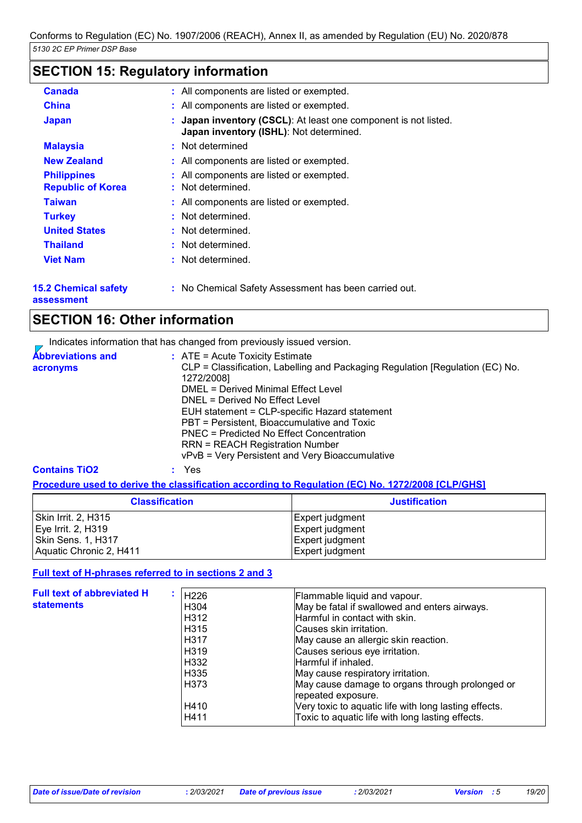# **SECTION 15: Regulatory information**

| <b>Canada</b>                                  | : All components are listed or exempted.                                                                 |
|------------------------------------------------|----------------------------------------------------------------------------------------------------------|
| <b>China</b>                                   | : All components are listed or exempted.                                                                 |
| <b>Japan</b>                                   | Japan inventory (CSCL): At least one component is not listed.<br>Japan inventory (ISHL): Not determined. |
| <b>Malaysia</b>                                | : Not determined                                                                                         |
| <b>New Zealand</b>                             | : All components are listed or exempted.                                                                 |
| <b>Philippines</b><br><b>Republic of Korea</b> | : All components are listed or exempted.<br>: Not determined.                                            |
| <b>Taiwan</b>                                  | : All components are listed or exempted.                                                                 |
| <b>Turkey</b>                                  | : Not determined.                                                                                        |
| <b>United States</b>                           | : Not determined.                                                                                        |
| <b>Thailand</b>                                | : Not determined.                                                                                        |
| <b>Viet Nam</b>                                | : Not determined.                                                                                        |
|                                                |                                                                                                          |

**15.2 Chemical safety** 

**:** No Chemical Safety Assessment has been carried out.

**assessment**

# **SECTION 16: Other information**

Indicates information that has changed from previously issued version.

| <b>Abbreviations and</b><br>acronyms | $:$ ATE = Acute Toxicity Estimate<br>CLP = Classification, Labelling and Packaging Regulation [Regulation (EC) No.<br>1272/2008]<br>DMEL = Derived Minimal Effect Level<br>DNEL = Derived No Effect Level<br>EUH statement = CLP-specific Hazard statement<br>PBT = Persistent, Bioaccumulative and Toxic<br>PNEC = Predicted No Effect Concentration |
|--------------------------------------|-------------------------------------------------------------------------------------------------------------------------------------------------------------------------------------------------------------------------------------------------------------------------------------------------------------------------------------------------------|
|                                      | <b>RRN = REACH Registration Number</b><br>vPvB = Very Persistent and Very Bioaccumulative                                                                                                                                                                                                                                                             |
| <b>Contains TiO2</b>                 | Yes                                                                                                                                                                                                                                                                                                                                                   |

## **Procedure used to derive the classification according to Regulation (EC) No. 1272/2008 [CLP/GHS]**

| <b>Classification</b>   | <b>Justification</b>   |
|-------------------------|------------------------|
| Skin Irrit. 2, H315     | <b>Expert judgment</b> |
| Eye Irrit. 2, H319      | Expert judgment        |
| Skin Sens. 1, H317      | Expert judgment        |
| Aquatic Chronic 2, H411 | Expert judgment        |

## **Full text of H-phrases referred to in sections 2 and 3**

| <b>Full text of abbreviated H</b> |                  |                                                       |
|-----------------------------------|------------------|-------------------------------------------------------|
|                                   | H <sub>226</sub> | Flammable liquid and vapour.                          |
| <b>statements</b>                 | H304             | May be fatal if swallowed and enters airways.         |
|                                   | H312             | Harmful in contact with skin.                         |
|                                   | H315             | Causes skin irritation.                               |
|                                   | H317             | May cause an allergic skin reaction.                  |
|                                   | H319             | Causes serious eye irritation.                        |
|                                   | H332             | Harmful if inhaled.                                   |
|                                   | H335             | May cause respiratory irritation.                     |
|                                   | H373             | May cause damage to organs through prolonged or       |
|                                   |                  | repeated exposure.                                    |
|                                   | H410             | Very toxic to aquatic life with long lasting effects. |
|                                   | H411             | Toxic to aquatic life with long lasting effects.      |
|                                   |                  |                                                       |